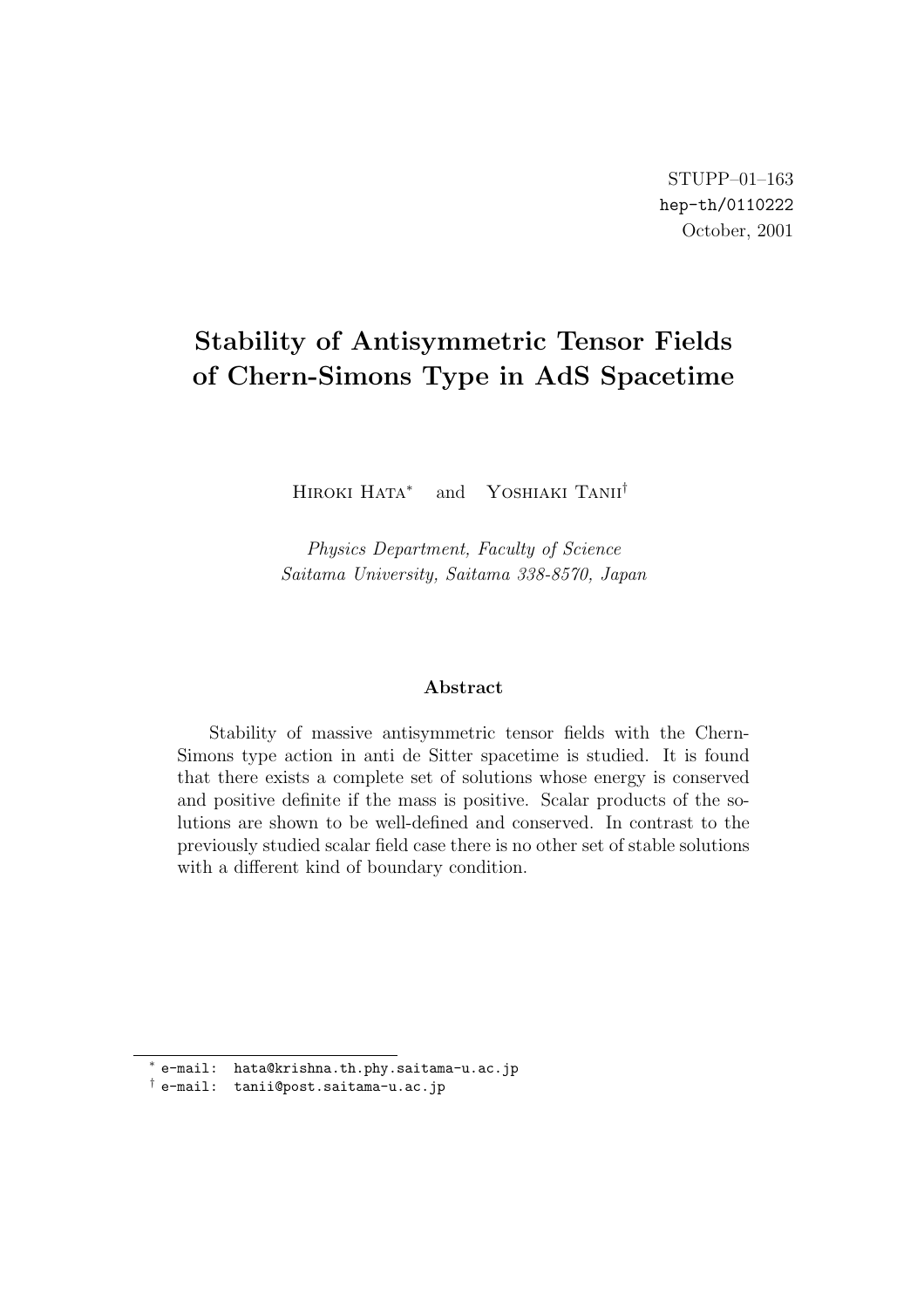# **Stability of Antisymmetric Tensor Fields of Chern-Simons Type in AdS Spacetime**

Hiroki Hata*<sup>∗</sup>* and Yoshiaki Tanii*†*

*Physics Department, Faculty of Science Saitama University, Saitama 338-8570, Japan*

#### **Abstract**

Stability of massive antisymmetric tensor fields with the Chern-Simons type action in anti de Sitter spacetime is studied. It is found that there exists a complete set of solutions whose energy is conserved and positive definite if the mass is positive. Scalar products of the solutions are shown to be well-defined and conserved. In contrast to the previously studied scalar field case there is no other set of stable solutions with a different kind of boundary condition.

*<sup>∗</sup>* e-mail: hata@krishna.th.phy.saitama-u.ac.jp

*<sup>†</sup>* e-mail: tanii@post.saitama-u.ac.jp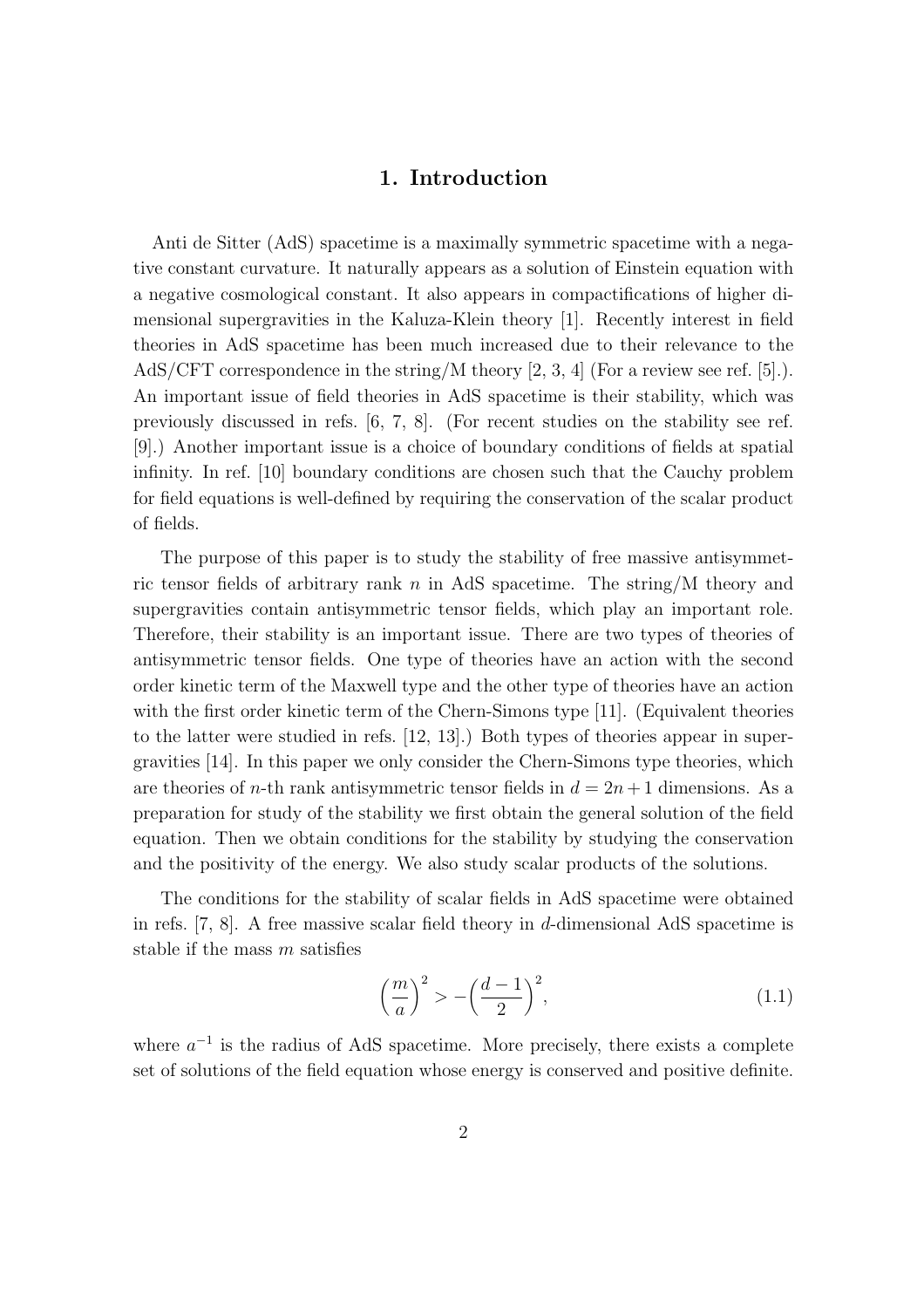### **1. Introduction**

Anti de Sitter (AdS) spacetime is a maximally symmetric spacetime with a negative constant curvature. It naturally appears as a solution of Einstein equation with a negative cosmological constant. It also appears in compactifications of higher dimensional supergravities in the Kaluza-Klein theory [1]. Recently interest in field theories in AdS spacetime has been much increased due to their relevance to the AdS/CFT correspondence in the string/M theory [2, 3, 4] (For a review see ref. [5].). An important issue of field theories in AdS spacetime is their stability, which was previously discussed in refs. [6, 7, 8]. (For recent studies on the stability see ref. [9].) Another important issue is a choice of boundary conditions of fields at spatial infinity. In ref. [10] boundary conditions are chosen such that the Cauchy problem for field equations is well-defined by requiring the conservation of the scalar product of fields.

The purpose of this paper is to study the stability of free massive antisymmetric tensor fields of arbitrary rank *n* in AdS spacetime. The string/M theory and supergravities contain antisymmetric tensor fields, which play an important role. Therefore, their stability is an important issue. There are two types of theories of antisymmetric tensor fields. One type of theories have an action with the second order kinetic term of the Maxwell type and the other type of theories have an action with the first order kinetic term of the Chern-Simons type [11]. (Equivalent theories to the latter were studied in refs. [12, 13].) Both types of theories appear in supergravities [14]. In this paper we only consider the Chern-Simons type theories, which are theories of *n*-th rank antisymmetric tensor fields in  $d = 2n + 1$  dimensions. As a preparation for study of the stability we first obtain the general solution of the field equation. Then we obtain conditions for the stability by studying the conservation and the positivity of the energy. We also study scalar products of the solutions.

The conditions for the stability of scalar fields in AdS spacetime were obtained in refs. [7, 8]. A free massive scalar field theory in *d*-dimensional AdS spacetime is stable if the mass *m* satisfies

$$
\left(\frac{m}{a}\right)^2 > -\left(\frac{d-1}{2}\right)^2,\tag{1.1}
$$

where  $a^{-1}$  is the radius of AdS spacetime. More precisely, there exists a complete set of solutions of the field equation whose energy is conserved and positive definite.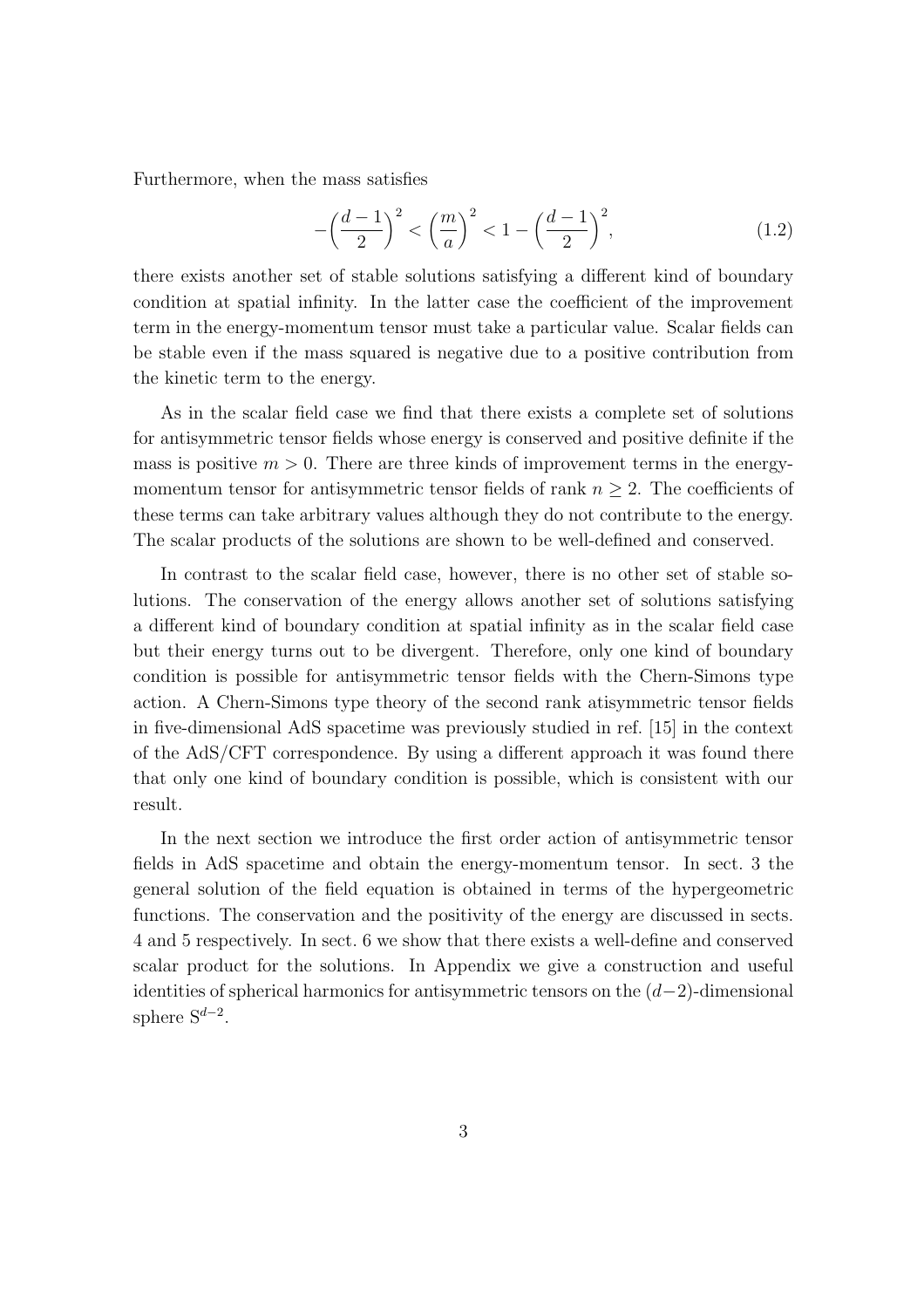Furthermore, when the mass satisfies

$$
-\left(\frac{d-1}{2}\right)^2 < \left(\frac{m}{a}\right)^2 < 1 - \left(\frac{d-1}{2}\right)^2,\tag{1.2}
$$

there exists another set of stable solutions satisfying a different kind of boundary condition at spatial infinity. In the latter case the coefficient of the improvement term in the energy-momentum tensor must take a particular value. Scalar fields can be stable even if the mass squared is negative due to a positive contribution from the kinetic term to the energy.

As in the scalar field case we find that there exists a complete set of solutions for antisymmetric tensor fields whose energy is conserved and positive definite if the mass is positive  $m > 0$ . There are three kinds of improvement terms in the energymomentum tensor for antisymmetric tensor fields of rank  $n \geq 2$ . The coefficients of these terms can take arbitrary values although they do not contribute to the energy. The scalar products of the solutions are shown to be well-defined and conserved.

In contrast to the scalar field case, however, there is no other set of stable solutions. The conservation of the energy allows another set of solutions satisfying a different kind of boundary condition at spatial infinity as in the scalar field case but their energy turns out to be divergent. Therefore, only one kind of boundary condition is possible for antisymmetric tensor fields with the Chern-Simons type action. A Chern-Simons type theory of the second rank atisymmetric tensor fields in five-dimensional AdS spacetime was previously studied in ref. [15] in the context of the AdS/CFT correspondence. By using a different approach it was found there that only one kind of boundary condition is possible, which is consistent with our result.

In the next section we introduce the first order action of antisymmetric tensor fields in AdS spacetime and obtain the energy-momentum tensor. In sect. 3 the general solution of the field equation is obtained in terms of the hypergeometric functions. The conservation and the positivity of the energy are discussed in sects. 4 and 5 respectively. In sect. 6 we show that there exists a well-define and conserved scalar product for the solutions. In Appendix we give a construction and useful identities of spherical harmonics for antisymmetric tensors on the (*d−*2)-dimensional sphere S*<sup>d</sup>−*<sup>2</sup> .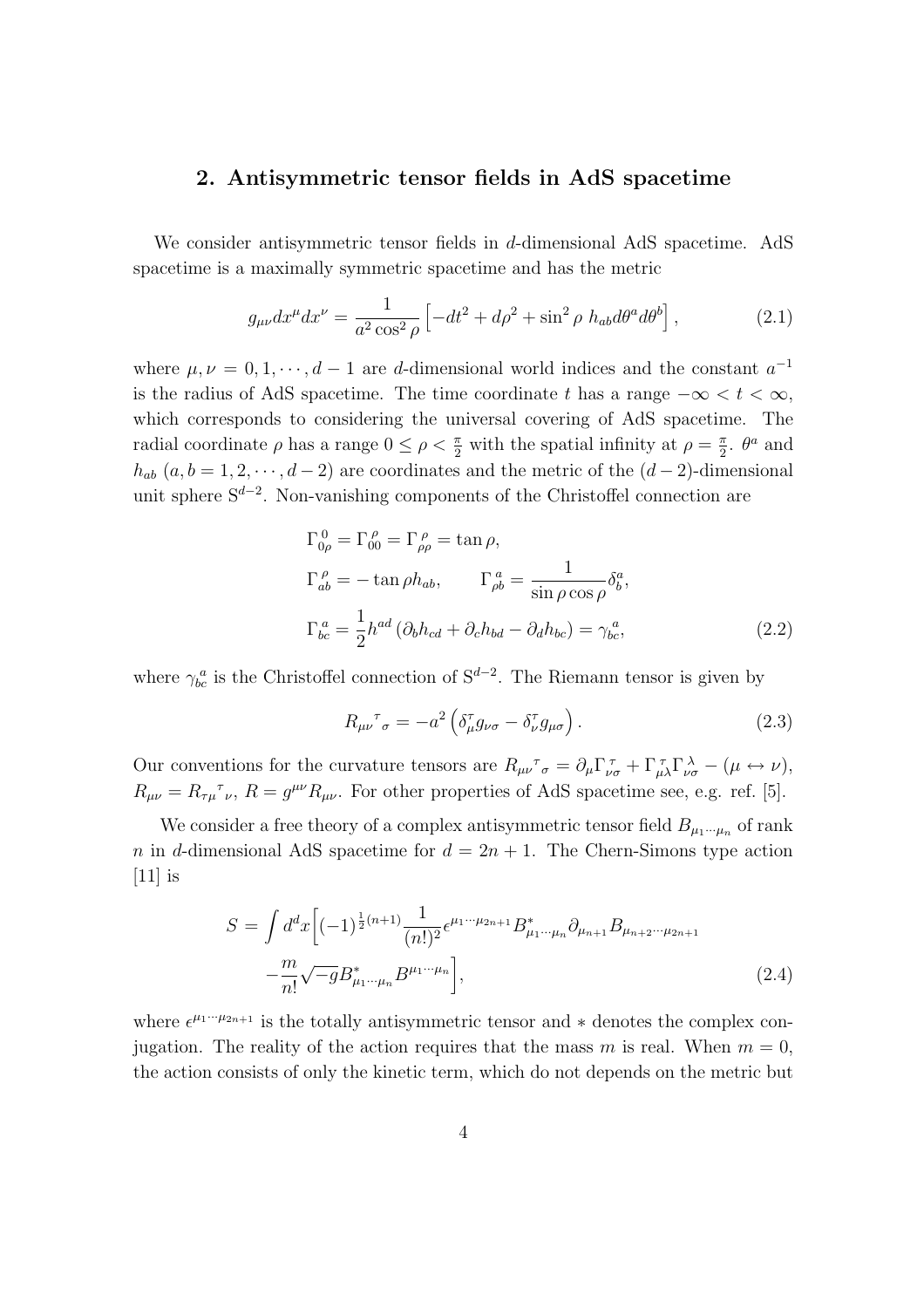### **2. Antisymmetric tensor fields in AdS spacetime**

We consider antisymmetric tensor fields in *d*-dimensional AdS spacetime. AdS spacetime is a maximally symmetric spacetime and has the metric

$$
g_{\mu\nu}dx^{\mu}dx^{\nu} = \frac{1}{a^2\cos^2\rho} \left[ -dt^2 + d\rho^2 + \sin^2\rho \ h_{ab}d\theta^a d\theta^b \right],\tag{2.1}
$$

where  $\mu, \nu = 0, 1, \dots, d - 1$  are *d*-dimensional world indices and the constant  $a^{-1}$ is the radius of AdS spacetime. The time coordinate *t* has a range  $-\infty < t < \infty$ , which corresponds to considering the universal covering of AdS spacetime. The radial coordinate  $\rho$  has a range  $0 \leq \rho < \frac{\pi}{2}$  with the spatial infinity at  $\rho = \frac{\pi}{2}$  $\frac{\pi}{2}$ *.*  $\theta^a$  and  $h_{ab}$  ( $a, b = 1, 2, \dots, d - 2$ ) are coordinates and the metric of the ( $d - 2$ )-dimensional unit sphere S*<sup>d</sup>−*<sup>2</sup> . Non-vanishing components of the Christoffel connection are

$$
\Gamma^{0}_{0\rho} = \Gamma^{\rho}_{00} = \Gamma^{\rho}_{\rho\rho} = \tan \rho,
$$
  
\n
$$
\Gamma^{a}_{ab} = -\tan \rho h_{ab}, \qquad \Gamma^{a}_{\rho b} = \frac{1}{\sin \rho \cos \rho} \delta^{a}_{b},
$$
  
\n
$$
\Gamma^{a}_{bc} = \frac{1}{2} h^{ad} (\partial_{b} h_{cd} + \partial_{c} h_{bd} - \partial_{d} h_{bc}) = \gamma^{a}_{bc},
$$
\n(2.2)

where  $\gamma_{bc}^a$  is the Christoffel connection of S<sup>*d*−2</sup>. The Riemann tensor is given by

$$
R_{\mu\nu}{}^{\tau}{}_{\sigma} = -a^2 \left( \delta^{\tau}_{\mu} g_{\nu\sigma} - \delta^{\tau}_{\nu} g_{\mu\sigma} \right). \tag{2.3}
$$

Our conventions for the curvature tensors are  $R_{\mu\nu}^T \sigma = \partial_{\mu} \Gamma_{\nu\sigma}^T + \Gamma_{\mu\lambda}^T \Gamma_{\nu\sigma}^{\lambda} - (\mu \leftrightarrow \nu),$  $R_{\mu\nu} = R_{\tau\mu}^{\tau}$ ,  $R = g^{\mu\nu} R_{\mu\nu}$ . For other properties of AdS spacetime see, e.g. ref. [5].

We consider a free theory of a complex antisymmetric tensor field  $B_{\mu_1\cdots\mu_n}$  of rank *n* in *d*-dimensional AdS spacetime for  $d = 2n + 1$ . The Chern-Simons type action  $[11]$  is

$$
S = \int d^d x \Big[ (-1)^{\frac{1}{2}(n+1)} \frac{1}{(n!)^2} \epsilon^{\mu_1 \cdots \mu_{2n+1}} B^*_{\mu_1 \cdots \mu_n} \partial_{\mu_{n+1}} B_{\mu_{n+2} \cdots \mu_{2n+1}} - \frac{m}{n!} \sqrt{-g} B^*_{\mu_1 \cdots \mu_n} B^{\mu_1 \cdots \mu_n} \Big],
$$
\n(2.4)

where  $\epsilon^{\mu_1\cdots\mu_{2n+1}}$  is the totally antisymmetric tensor and  $*$  denotes the complex conjugation. The reality of the action requires that the mass *m* is real. When  $m = 0$ , the action consists of only the kinetic term, which do not depends on the metric but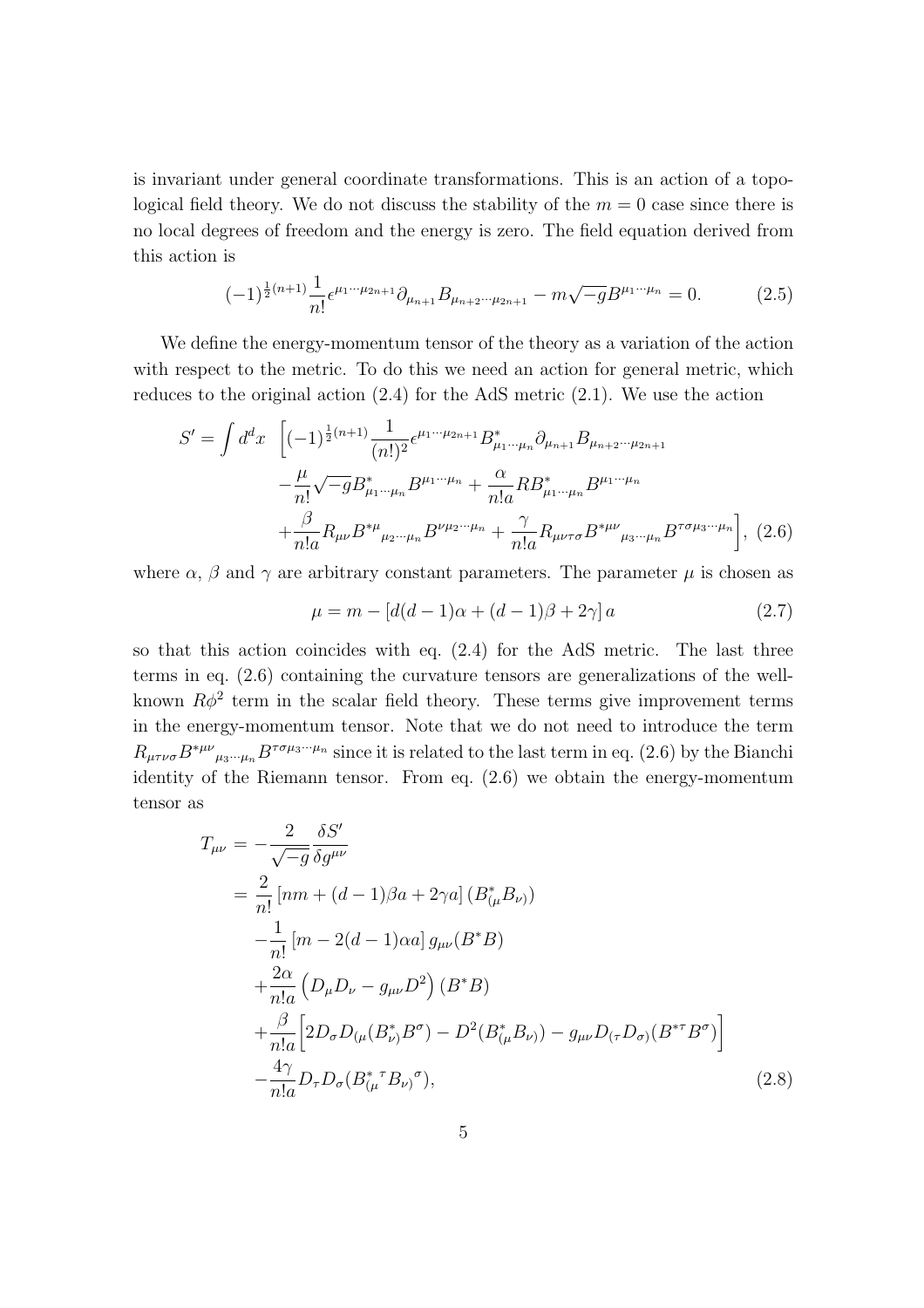is invariant under general coordinate transformations. This is an action of a topological field theory. We do not discuss the stability of the  $m = 0$  case since there is no local degrees of freedom and the energy is zero. The field equation derived from this action is

$$
(-1)^{\frac{1}{2}(n+1)}\frac{1}{n!}\epsilon^{\mu_1\cdots\mu_{2n+1}}\partial_{\mu_{n+1}}B_{\mu_{n+2}\cdots\mu_{2n+1}} - m\sqrt{-g}B^{\mu_1\cdots\mu_n} = 0.
$$
 (2.5)

We define the energy-momentum tensor of the theory as a variation of the action with respect to the metric. To do this we need an action for general metric, which reduces to the original action (2.4) for the AdS metric (2.1). We use the action

$$
S' = \int d^d x \left[ (-1)^{\frac{1}{2}(n+1)} \frac{1}{(n!)^2} \epsilon^{\mu_1 \cdots \mu_{2n+1}} B^*_{\mu_1 \cdots \mu_n} \partial_{\mu_{n+1}} B_{\mu_{n+2} \cdots \mu_{2n+1}} - \frac{\mu}{n!} \sqrt{-g} B^*_{\mu_1 \cdots \mu_n} B^{\mu_1 \cdots \mu_n} + \frac{\alpha}{n! a} R B^*_{\mu_1 \cdots \mu_n} B^{\mu_1 \cdots \mu_n} + \frac{\beta}{n! a} R_{\mu\nu} B^{*\mu}{}_{\mu_2 \cdots \mu_n} B^{\nu \mu_2 \cdots \mu_n} + \frac{\gamma}{n! a} R_{\mu\nu \tau \sigma} B^{*\mu\nu}{}_{\mu_3 \cdots \mu_n} B^{\tau \sigma \mu_3 \cdots \mu_n} \right], (2.6)
$$

where  $\alpha$ ,  $\beta$  and  $\gamma$  are arbitrary constant parameters. The parameter  $\mu$  is chosen as

$$
\mu = m - [d(d - 1)\alpha + (d - 1)\beta + 2\gamma] a \tag{2.7}
$$

so that this action coincides with eq. (2.4) for the AdS metric. The last three terms in eq. (2.6) containing the curvature tensors are generalizations of the wellknown  $R\phi^2$  term in the scalar field theory. These terms give improvement terms in the energy-momentum tensor. Note that we do not need to introduce the term  $R_{\mu\tau\nu\sigma}B^{*\mu\nu}{}_{\mu_3\cdots\mu_n}B^{\tau\sigma\mu_3\cdots\mu_n}$  since it is related to the last term in eq. (2.6) by the Bianchi identity of the Riemann tensor. From eq. (2.6) we obtain the energy-momentum tensor as

$$
T_{\mu\nu} = -\frac{2}{\sqrt{-g}} \frac{\delta S'}{\delta g^{\mu\nu}}
$$
  
=  $\frac{2}{n!} [nm + (d-1)\beta a + 2\gamma a] (B_{(\mu}^* B_{\nu)})$   
 $-\frac{1}{n!} [m - 2(d - 1)\alpha a] g_{\mu\nu} (B^* B)$   
 $+\frac{2\alpha}{n! a} (D_{\mu} D_{\nu} - g_{\mu\nu} D^2) (B^* B)$   
 $+\frac{\beta}{n! a} [2D_{\sigma} D_{(\mu} (B_{\nu}^* B^{\sigma}) - D^2 (B_{(\mu}^* B_{\nu)}) - g_{\mu\nu} D_{(\tau} D_{\sigma)} (B^{*T} B^{\sigma}) ]$   
 $-\frac{4\gamma}{n! a} D_{\tau} D_{\sigma} (B_{(\mu}^{*T} B_{\nu)}^{\sigma}),$  (2.8)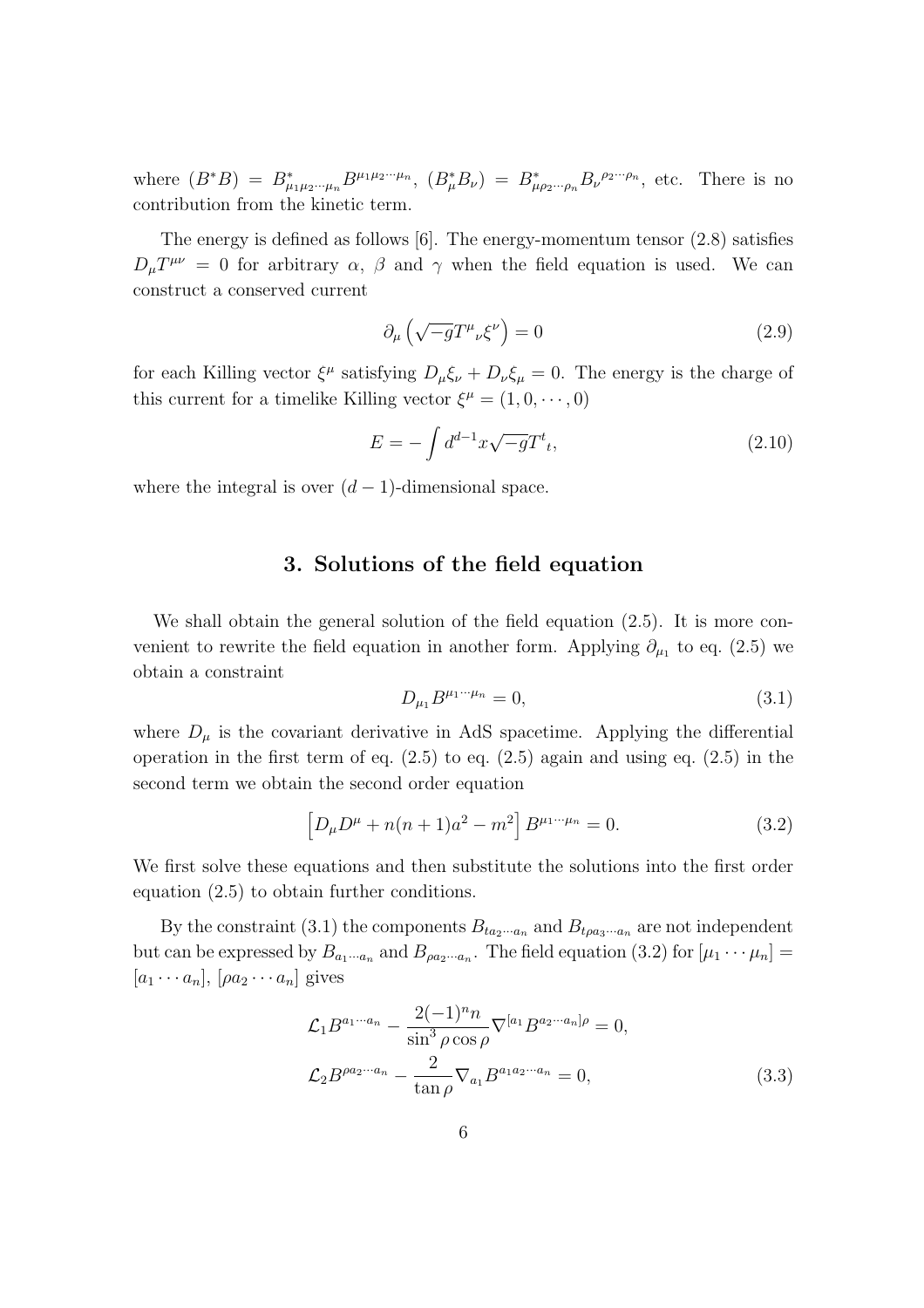where  $(B^*B) = B^*_{\mu_1\mu_2\cdots\mu_n} B^{\mu_1\mu_2\cdots\mu_n}$ ,  $(B^*_{\mu}B_{\nu}) = B^*_{\mu\rho_2\cdots\rho_n} B_{\nu}^{\rho_2\cdots\rho_n}$ , etc. There is no contribution from the kinetic term.

The energy is defined as follows [6]. The energy-momentum tensor (2.8) satisfies  $D_{\mu}T^{\mu\nu} = 0$  for arbitrary *α*, *β* and *γ* when the field equation is used. We can construct a conserved current

$$
\partial_{\mu} \left( \sqrt{-g} T^{\mu}{}_{\nu} \xi^{\nu} \right) = 0 \tag{2.9}
$$

for each Killing vector  $\xi^{\mu}$  satisfying  $D_{\mu}\xi_{\nu} + D_{\nu}\xi_{\mu} = 0$ . The energy is the charge of this current for a timelike Killing vector  $\xi^{\mu} = (1, 0, \dots, 0)$ 

$$
E = -\int d^{d-1}x \sqrt{-g}T^{t}, \qquad (2.10)
$$

where the integral is over  $(d-1)$ -dimensional space.

### **3. Solutions of the field equation**

We shall obtain the general solution of the field equation (2.5). It is more convenient to rewrite the field equation in another form. Applying  $\partial_{\mu_1}$  to eq. (2.5) we obtain a constraint

$$
D_{\mu_1}B^{\mu_1\cdots\mu_n} = 0,\t\t(3.1)
$$

where  $D_{\mu}$  is the covariant derivative in AdS spacetime. Applying the differential operation in the first term of eq.  $(2.5)$  to eq.  $(2.5)$  again and using eq.  $(2.5)$  in the second term we obtain the second order equation

$$
\[D_{\mu}D^{\mu} + n(n+1)a^2 - m^2\]B^{\mu_1 \cdots \mu_n} = 0. \tag{3.2}
$$

We first solve these equations and then substitute the solutions into the first order equation (2.5) to obtain further conditions.

By the constraint (3.1) the components  $B_{ta_2\cdots a_n}$  and  $B_{ta_3\cdots a_n}$  are not independent but can be expressed by  $B_{a_1\cdots a_n}$  and  $B_{\rho a_2\cdots a_n}$ . The field equation (3.2) for  $[\mu_1 \cdots \mu_n] =$  $[a_1 \cdots a_n], [ \rho a_2 \cdots a_n]$  gives

$$
\mathcal{L}_1 B^{a_1 \cdots a_n} - \frac{2(-1)^n n}{\sin^3 \rho \cos \rho} \nabla^{[a_1} B^{a_2 \cdots a_n] \rho} = 0,
$$
  

$$
\mathcal{L}_2 B^{\rho a_2 \cdots a_n} - \frac{2}{\tan \rho} \nabla_{a_1} B^{a_1 a_2 \cdots a_n} = 0,
$$
 (3.3)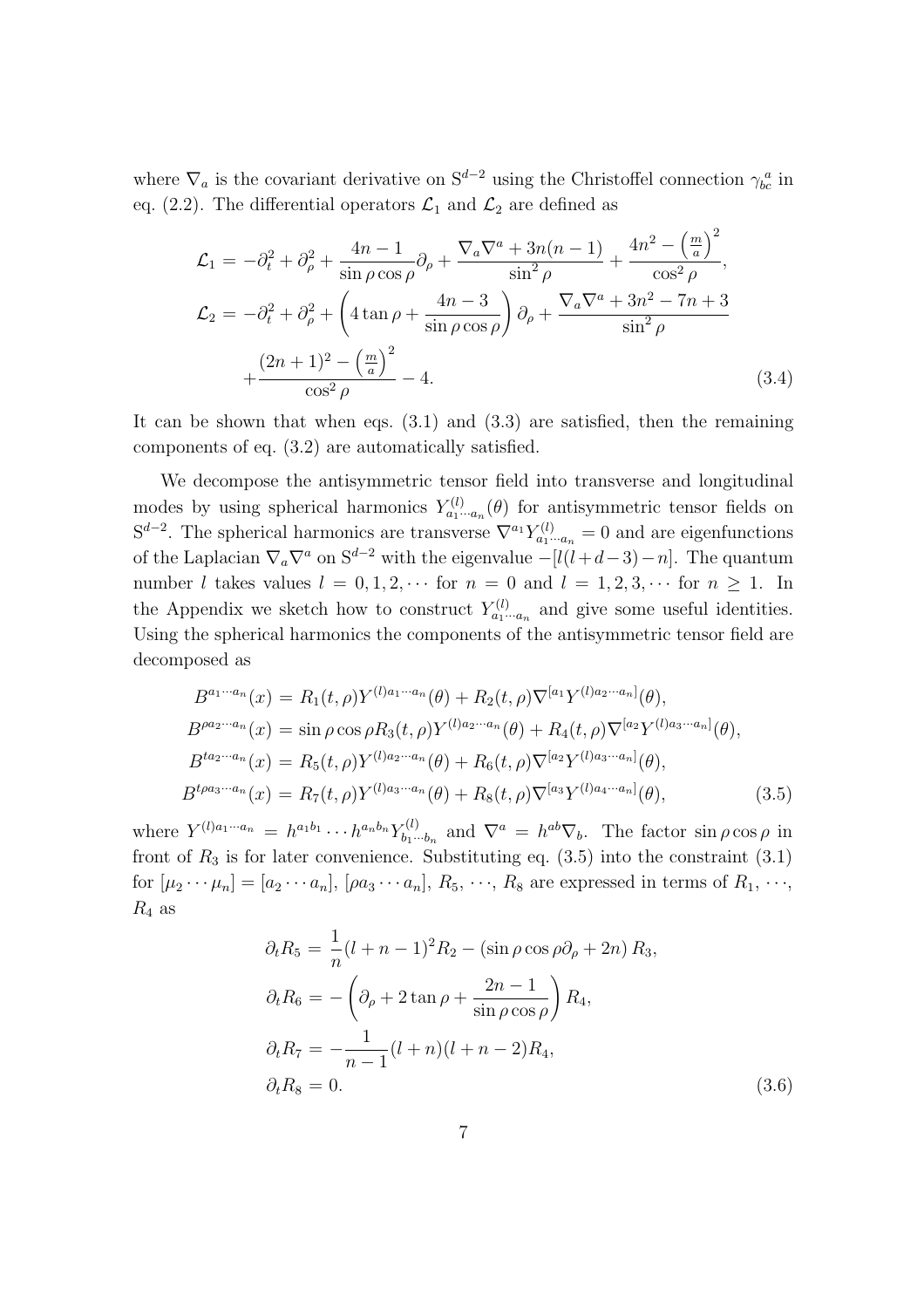where  $\nabla_a$  is the covariant derivative on  $S^{d-2}$  using the Christoffel connection  $\gamma_{bc}^a$  in eq. (2.2). The differential operators  $\mathcal{L}_1$  and  $\mathcal{L}_2$  are defined as

$$
\mathcal{L}_1 = -\partial_t^2 + \partial_\rho^2 + \frac{4n-1}{\sin \rho \cos \rho} \partial_\rho + \frac{\nabla_a \nabla^a + 3n(n-1)}{\sin^2 \rho} + \frac{4n^2 - \left(\frac{m}{a}\right)^2}{\cos^2 \rho},
$$
  
\n
$$
\mathcal{L}_2 = -\partial_t^2 + \partial_\rho^2 + \left(4 \tan \rho + \frac{4n-3}{\sin \rho \cos \rho}\right) \partial_\rho + \frac{\nabla_a \nabla^a + 3n^2 - 7n + 3}{\sin^2 \rho} + \frac{(2n+1)^2 - \left(\frac{m}{a}\right)^2}{\cos^2 \rho} - 4.
$$
\n(3.4)

It can be shown that when eqs. (3.1) and (3.3) are satisfied, then the remaining components of eq. (3.2) are automatically satisfied.

We decompose the antisymmetric tensor field into transverse and longitudinal modes by using spherical harmonics  $Y_{a_1\cdots a_n}^{(l)}(\theta)$  for antisymmetric tensor fields on  $S^{d-2}$ . The spherical harmonics are transverse  $\nabla^{a_1} Y_{a_1 \cdots a_n}^{(l)} = 0$  and are eigenfunctions of the Laplacian  $\nabla_a \nabla^a$  on S<sup>*d*−2</sup> with the eigenvalue  $-[l(l+d-3)-n]$ . The quantum number *l* takes values  $l = 0, 1, 2, \cdots$  for  $n = 0$  and  $l = 1, 2, 3, \cdots$  for  $n \ge 1$ . In the Appendix we sketch how to construct  $Y_{a_1\cdots a_n}^{(l)}$  and give some useful identities. Using the spherical harmonics the components of the antisymmetric tensor field are decomposed as

$$
B^{a_1 \cdots a_n}(x) = R_1(t, \rho) Y^{(l)a_1 \cdots a_n}(\theta) + R_2(t, \rho) \nabla^{[a_1} Y^{(l)a_2 \cdots a_n]}(\theta),
$$
  
\n
$$
B^{\rho a_2 \cdots a_n}(x) = \sin \rho \cos \rho R_3(t, \rho) Y^{(l)a_2 \cdots a_n}(\theta) + R_4(t, \rho) \nabla^{[a_2} Y^{(l)a_3 \cdots a_n]}(\theta),
$$
  
\n
$$
B^{t a_2 \cdots a_n}(x) = R_5(t, \rho) Y^{(l)a_2 \cdots a_n}(\theta) + R_6(t, \rho) \nabla^{[a_2} Y^{(l)a_3 \cdots a_n]}(\theta),
$$
  
\n
$$
B^{t \rho a_3 \cdots a_n}(x) = R_7(t, \rho) Y^{(l)a_3 \cdots a_n}(\theta) + R_8(t, \rho) \nabla^{[a_3} Y^{(l)a_4 \cdots a_n]}(\theta),
$$
\n(3.5)

where  $Y^{(l)a_1\cdots a_n} = h^{a_1b_1} \cdots h^{a_nb_n} Y^{(l)}_{b_1\cdots b_n}$  $\mathcal{L}_{b_1 \cdots b_n}^{(l)}$  and  $\nabla^a = h^{ab} \nabla_b$ . The factor  $\sin \rho \cos \rho$  in front of  $R_3$  is for later convenience. Substituting eq.  $(3.5)$  into the constraint  $(3.1)$ for  $[\mu_2 \cdots \mu_n] = [a_2 \cdots a_n], [\rho a_3 \cdots a_n], R_5, \cdots, R_8$  are expressed in terms of  $R_1, \cdots$ ,  $R_4$  as

$$
\partial_t R_5 = \frac{1}{n} (l + n - 1)^2 R_2 - (\sin \rho \cos \rho \partial_\rho + 2n) R_3,
$$
  
\n
$$
\partial_t R_6 = -\left(\partial_\rho + 2 \tan \rho + \frac{2n - 1}{\sin \rho \cos \rho}\right) R_4,
$$
  
\n
$$
\partial_t R_7 = -\frac{1}{n - 1} (l + n)(l + n - 2) R_4,
$$
  
\n
$$
\partial_t R_8 = 0.
$$
\n(3.6)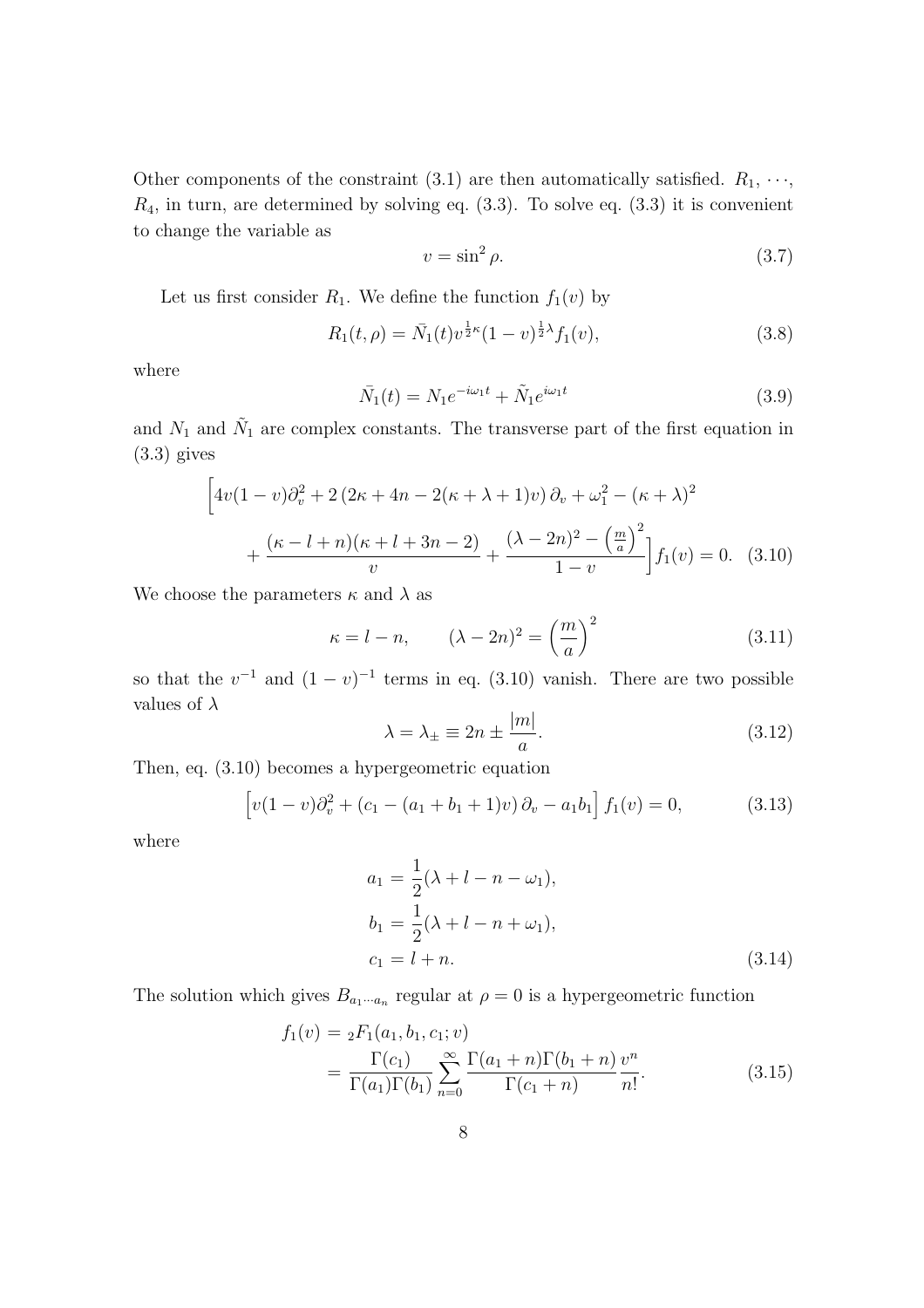Other components of the constraint (3.1) are then automatically satisfied.  $R_1, \cdots$ ,  $R_4$ , in turn, are determined by solving eq.  $(3.3)$ . To solve eq.  $(3.3)$  it is convenient to change the variable as

$$
v = \sin^2 \rho. \tag{3.7}
$$

Let us first consider  $R_1$ . We define the function  $f_1(v)$  by

$$
R_1(t,\rho) = \bar{N}_1(t)v^{\frac{1}{2}\kappa}(1-v)^{\frac{1}{2}\lambda}f_1(v), \qquad (3.8)
$$

where

$$
\bar{N}_1(t) = N_1 e^{-i\omega_1 t} + \tilde{N}_1 e^{i\omega_1 t} \tag{3.9}
$$

and  $N_1$  and  $\tilde{N}_1$  are complex constants. The transverse part of the first equation in  $(3.3)$  gives

$$
\[4v(1-v)\partial_v^2 + 2(2\kappa + 4n - 2(\kappa + \lambda + 1)v)\partial_v + \omega_1^2 - (\kappa + \lambda)^2 + \frac{(\kappa - l + n)(\kappa + l + 3n - 2)}{v} + \frac{(\lambda - 2n)^2 - \left(\frac{m}{a}\right)^2}{1 - v}\]f_1(v) = 0. \quad (3.10)
$$

We choose the parameters  $\kappa$  and  $\lambda$  as

$$
\kappa = l - n, \qquad (\lambda - 2n)^2 = \left(\frac{m}{a}\right)^2 \tag{3.11}
$$

so that the  $v^{-1}$  and  $(1 - v)^{-1}$  terms in eq. (3.10) vanish. There are two possible values of *λ*

$$
\lambda = \lambda_{\pm} \equiv 2n \pm \frac{|m|}{a}.\tag{3.12}
$$

Then, eq. (3.10) becomes a hypergeometric equation

$$
\[v(1-v)\partial_v^2 + (c_1 - (a_1 + b_1 + 1)v)\partial_v - a_1b_1\]f_1(v) = 0,\tag{3.13}
$$

where

$$
a_1 = \frac{1}{2}(\lambda + l - n - \omega_1),
$$
  
\n
$$
b_1 = \frac{1}{2}(\lambda + l - n + \omega_1),
$$
  
\n
$$
c_1 = l + n.
$$
\n(3.14)

The solution which gives  $B_{a_1 \cdots a_n}$  regular at  $\rho = 0$  is a hypergeometric function

$$
f_1(v) = {}_2F_1(a_1, b_1, c_1; v)
$$
  
= 
$$
\frac{\Gamma(c_1)}{\Gamma(a_1)\Gamma(b_1)} \sum_{n=0}^{\infty} \frac{\Gamma(a_1+n)\Gamma(b_1+n)}{\Gamma(c_1+n)} \frac{v^n}{n!}.
$$
 (3.15)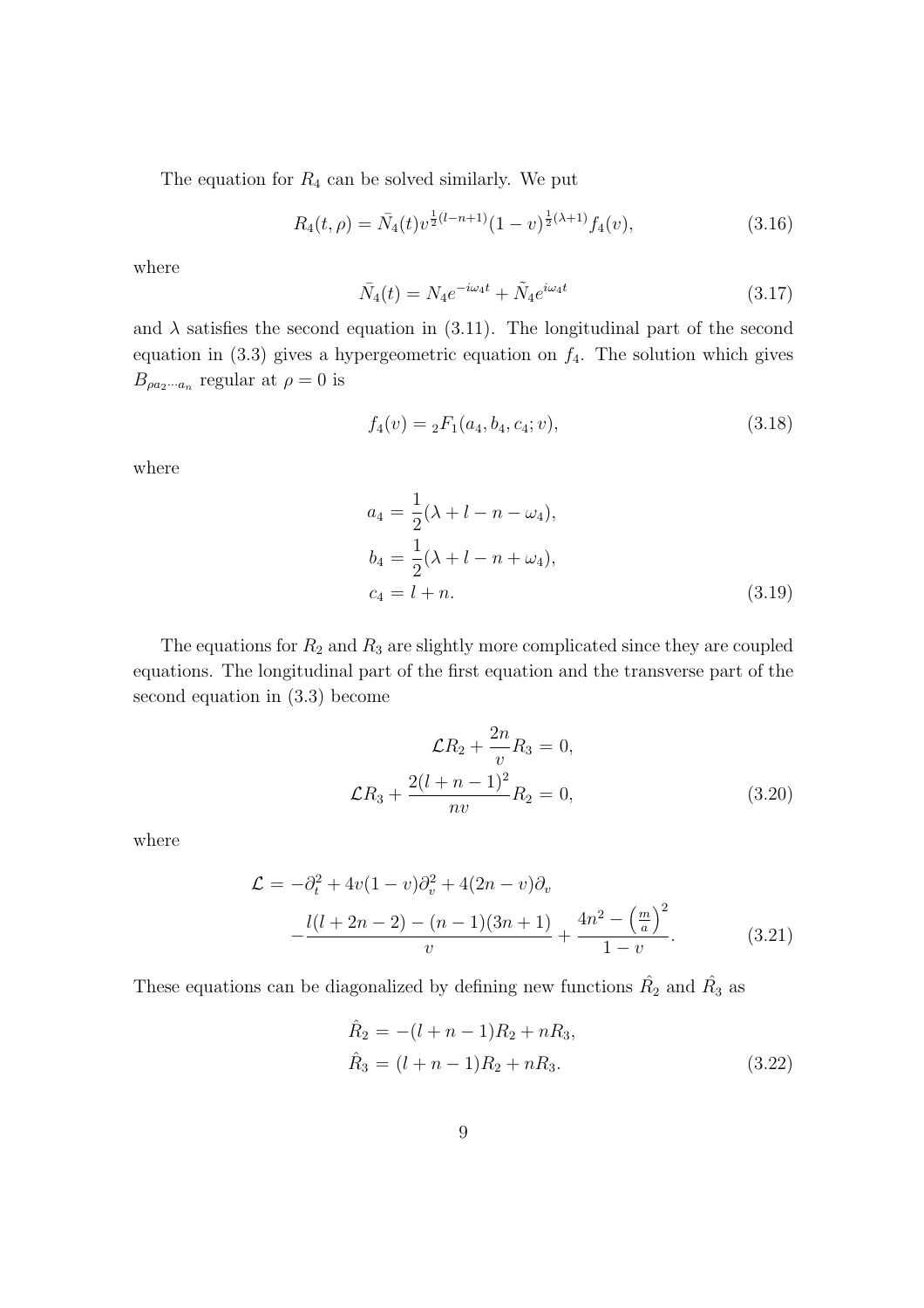The equation for  $R_4$  can be solved similarly. We put

$$
R_4(t,\rho) = \bar{N}_4(t)v^{\frac{1}{2}(l-n+1)}(1-v)^{\frac{1}{2}(\lambda+1)}f_4(v),\tag{3.16}
$$

where

$$
\bar{N}_4(t) = N_4 e^{-i\omega_4 t} + \tilde{N}_4 e^{i\omega_4 t} \tag{3.17}
$$

and  $\lambda$  satisfies the second equation in (3.11). The longitudinal part of the second equation in  $(3.3)$  gives a hypergeometric equation on  $f_4$ . The solution which gives  $B_{\rho a_2 \cdots a_n}$  regular at  $\rho = 0$  is

$$
f_4(v) = {}_2F_1(a_4, b_4, c_4; v),
$$
\n(3.18)

where

$$
a_4 = \frac{1}{2}(\lambda + l - n - \omega_4),
$$
  
\n
$$
b_4 = \frac{1}{2}(\lambda + l - n + \omega_4),
$$
  
\n
$$
c_4 = l + n.
$$
\n(3.19)

The equations for  $R_2$  and  $R_3$  are slightly more complicated since they are coupled equations. The longitudinal part of the first equation and the transverse part of the second equation in (3.3) become

$$
\mathcal{L}R_2 + \frac{2n}{v}R_3 = 0,
$$
  

$$
\mathcal{L}R_3 + \frac{2(l+n-1)^2}{nv}R_2 = 0,
$$
 (3.20)

where

$$
\mathcal{L} = -\partial_t^2 + 4v(1-v)\partial_v^2 + 4(2n-v)\partial_v
$$
  
 
$$
-\frac{l(l+2n-2) - (n-1)(3n+1)}{v} + \frac{4n^2 - \left(\frac{m}{a}\right)^2}{1-v}.
$$
 (3.21)

These equations can be diagonalized by defining new functions  $\hat{R_2}$  and  $\hat{R_3}$  as

$$
\hat{R}_2 = -(l + n - 1)R_2 + nR_3,
$$
  
\n
$$
\hat{R}_3 = (l + n - 1)R_2 + nR_3.
$$
\n(3.22)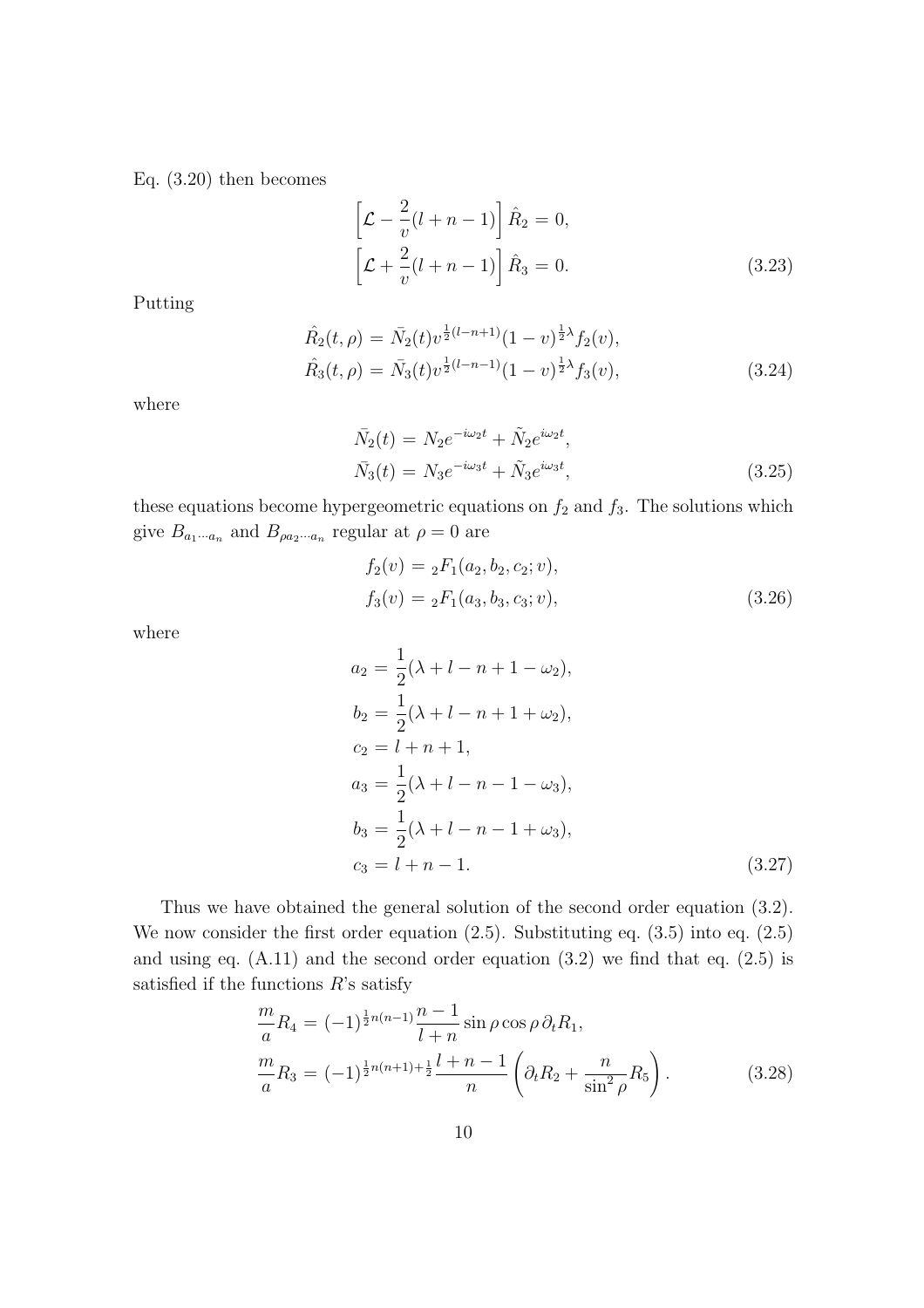Eq. (3.20) then becomes

$$
\[\mathcal{L} - \frac{2}{v}(l+n-1)\]\hat{R}_2 = 0,
$$
  

$$
\[\mathcal{L} + \frac{2}{v}(l+n-1)\]\hat{R}_3 = 0.
$$
\n(3.23)

Putting

$$
\hat{R}_2(t,\rho) = \bar{N}_2(t)v^{\frac{1}{2}(l-n+1)}(1-v)^{\frac{1}{2}\lambda}f_2(v),
$$
  
\n
$$
\hat{R}_3(t,\rho) = \bar{N}_3(t)v^{\frac{1}{2}(l-n-1)}(1-v)^{\frac{1}{2}\lambda}f_3(v),
$$
\n(3.24)

where

$$
\bar{N}_2(t) = N_2 e^{-i\omega_2 t} + \tilde{N}_2 e^{i\omega_2 t},
$$
\n
$$
\bar{N}_3(t) = N_3 e^{-i\omega_3 t} + \tilde{N}_3 e^{i\omega_3 t},
$$
\n(3.25)

these equations become hypergeometric equations on  $f_2$  and  $f_3$ . The solutions which give  $B_{a_1 \cdots a_n}$  and  $B_{\rho a_2 \cdots a_n}$  regular at  $\rho = 0$  are

$$
f_2(v) = {}_2F_1(a_2, b_2, c_2; v),
$$
  
\n
$$
f_3(v) = {}_2F_1(a_3, b_3, c_3; v),
$$
\n(3.26)

where

$$
a_2 = \frac{1}{2}(\lambda + l - n + 1 - \omega_2),
$$
  
\n
$$
b_2 = \frac{1}{2}(\lambda + l - n + 1 + \omega_2),
$$
  
\n
$$
c_2 = l + n + 1,
$$
  
\n
$$
a_3 = \frac{1}{2}(\lambda + l - n - 1 - \omega_3),
$$
  
\n
$$
b_3 = \frac{1}{2}(\lambda + l - n - 1 + \omega_3),
$$
  
\n
$$
c_3 = l + n - 1.
$$
\n(3.27)

Thus we have obtained the general solution of the second order equation (3.2). We now consider the first order equation (2.5). Substituting eq. (3.5) into eq. (2.5) and using eq.  $(A.11)$  and the second order equation  $(3.2)$  we find that eq.  $(2.5)$  is satisfied if the functions *R*'s satisfy

$$
\frac{m}{a}R_4 = (-1)^{\frac{1}{2}n(n-1)}\frac{n-1}{l+n}\sin\rho\cos\rho\,\partial_t R_1,\n\frac{m}{a}R_3 = (-1)^{\frac{1}{2}n(n+1)+\frac{1}{2}}\frac{l+n-1}{n}\left(\partial_t R_2 + \frac{n}{\sin^2\rho}R_5\right).
$$
\n(3.28)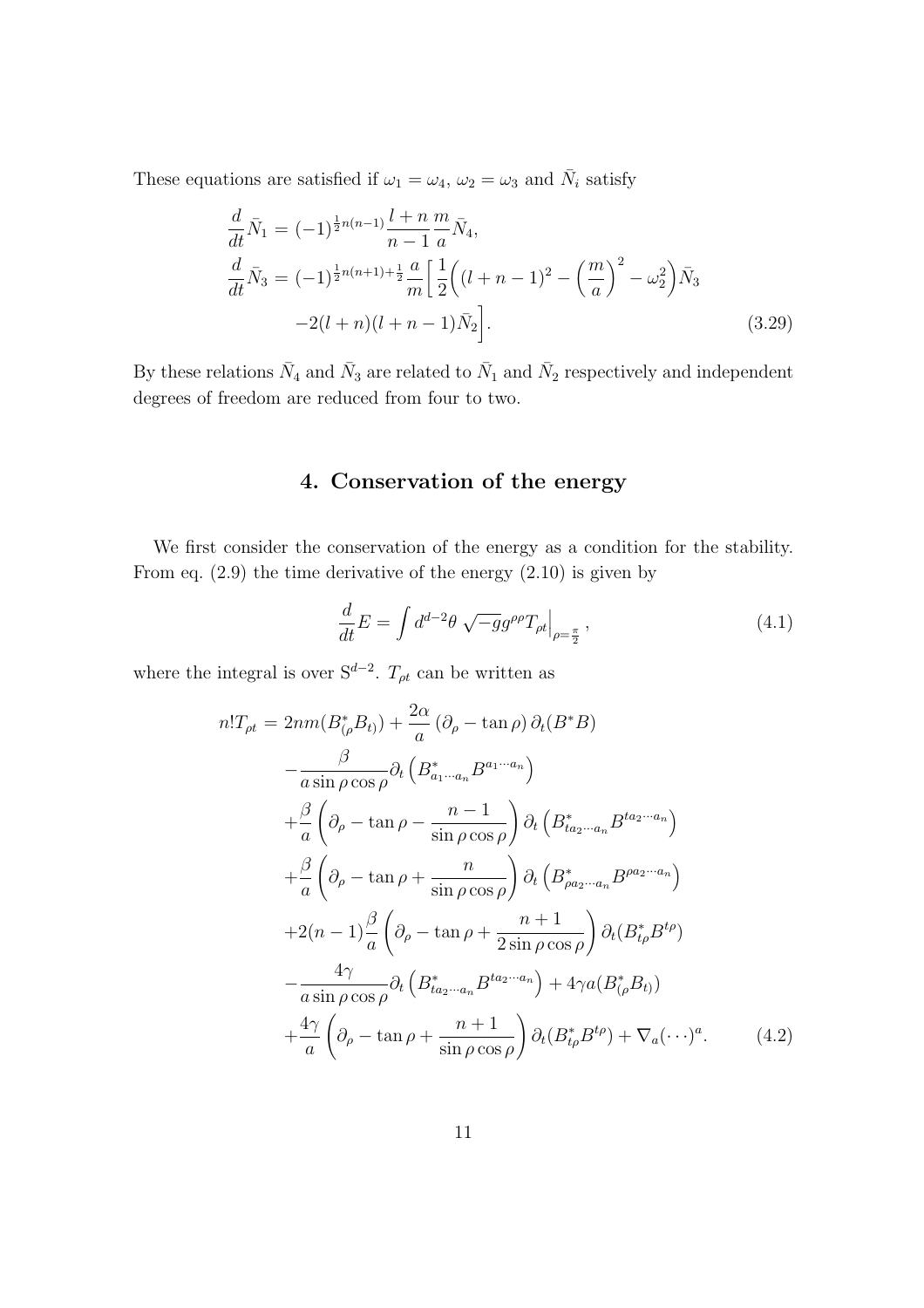These equations are satisfied if  $\omega_1 = \omega_4$ ,  $\omega_2 = \omega_3$  and  $\bar{N}_i$  satisfy

$$
\frac{d}{dt}\bar{N}_1 = (-1)^{\frac{1}{2}n(n-1)}\frac{l+n}{n-1}\frac{m}{a}\bar{N}_4,\n\frac{d}{dt}\bar{N}_3 = (-1)^{\frac{1}{2}n(n+1)+\frac{1}{2}}\frac{a}{m}\left[\frac{1}{2}\left((l+n-1)^2-\left(\frac{m}{a}\right)^2-\omega_2^2\right)\bar{N}_3\right]\n-2(l+n)(l+n-1)\bar{N}_2\right].
$$
\n(3.29)

By these relations  $\bar{N}_4$  and  $\bar{N}_3$  are related to  $\bar{N}_1$  and  $\bar{N}_2$  respectively and independent degrees of freedom are reduced from four to two.

### **4. Conservation of the energy**

We first consider the conservation of the energy as a condition for the stability. From eq. (2.9) the time derivative of the energy (2.10) is given by

$$
\frac{d}{dt}E = \int d^{d-2}\theta \sqrt{-g}g^{\rho\rho}T_{\rho t}\Big|_{\rho=\frac{\pi}{2}},\tag{4.1}
$$

where the integral is over  $S^{d-2}$ .  $T_{\rho t}$  can be written as

$$
n!T_{\rho t} = 2nm(B_{(\rho}^{*}B_{t)}) + \frac{2\alpha}{a} (\partial_{\rho} - \tan \rho) \partial_{t} (B^{*}B)
$$
  
\n
$$
- \frac{\beta}{a \sin \rho \cos \rho} \partial_{t} \left( B_{a_{1} \cdots a_{n}}^{*} B^{a_{1} \cdots a_{n}} \right)
$$
  
\n
$$
+ \frac{\beta}{a} \left( \partial_{\rho} - \tan \rho - \frac{n-1}{\sin \rho \cos \rho} \right) \partial_{t} \left( B_{ta_{2} \cdots a_{n}}^{*} B^{ta_{2} \cdots a_{n}} \right)
$$
  
\n
$$
+ \frac{\beta}{a} \left( \partial_{\rho} - \tan \rho + \frac{n}{\sin \rho \cos \rho} \right) \partial_{t} \left( B_{\rho a_{2} \cdots a_{n}}^{*} B^{\rho a_{2} \cdots a_{n}} \right)
$$
  
\n
$$
+ 2(n-1) \frac{\beta}{a} \left( \partial_{\rho} - \tan \rho + \frac{n+1}{2 \sin \rho \cos \rho} \right) \partial_{t} (B_{t\rho}^{*} B^{t\rho})
$$
  
\n
$$
- \frac{4\gamma}{a \sin \rho \cos \rho} \partial_{t} \left( B_{ta_{2} \cdots a_{n}}^{*} B^{ta_{2} \cdots a_{n}} \right) + 4\gamma a (B_{(\rho}^{*}B_{t}))
$$
  
\n
$$
+ \frac{4\gamma}{a} \left( \partial_{\rho} - \tan \rho + \frac{n+1}{\sin \rho \cos \rho} \right) \partial_{t} (B_{t\rho}^{*} B^{t\rho}) + \nabla_{a} (\cdots)^{a}.
$$
 (4.2)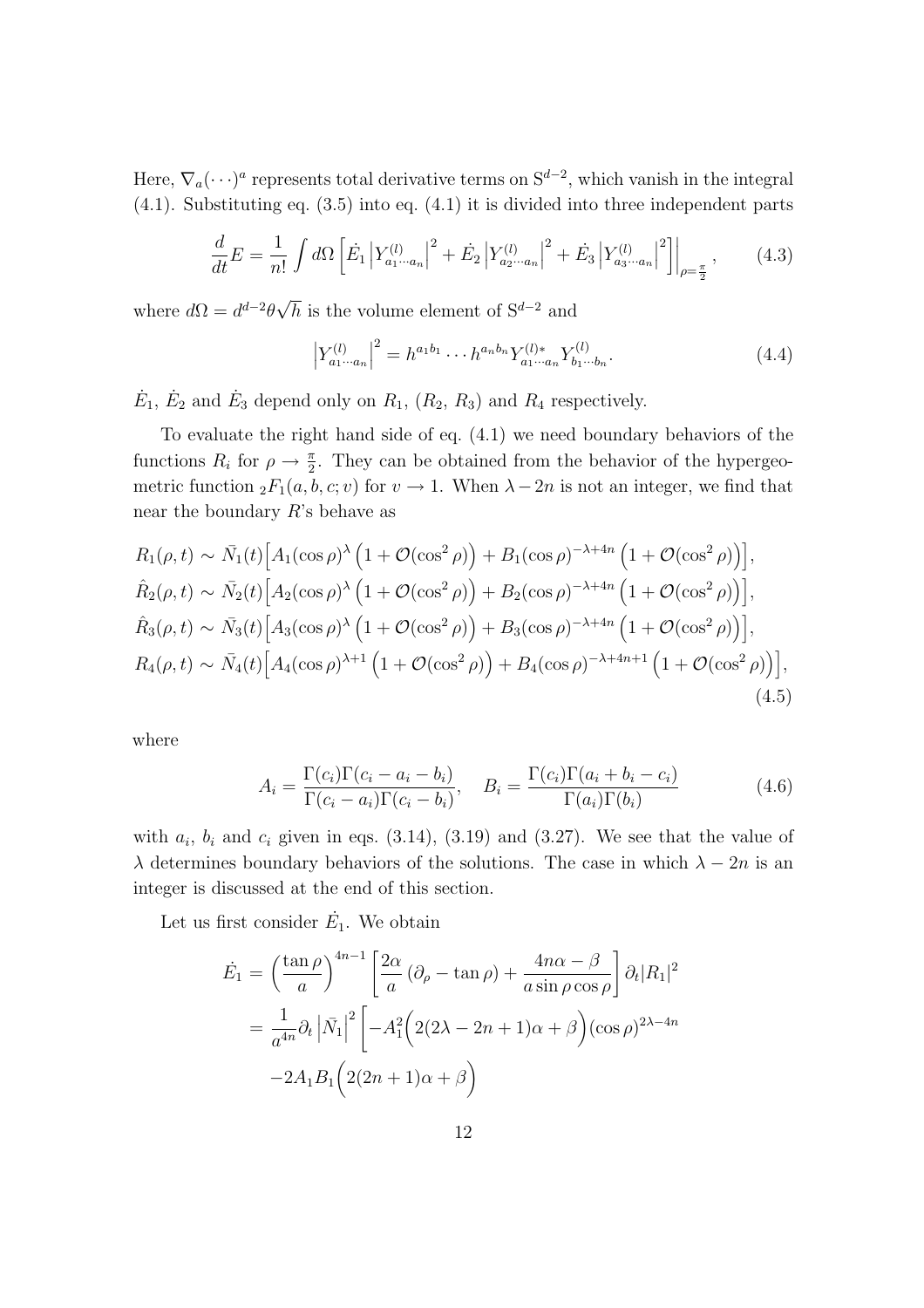Here,  $\nabla_a(\cdot \cdot \cdot)^a$  represents total derivative terms on  $S^{d-2}$ , which vanish in the integral (4.1). Substituting eq. (3.5) into eq. (4.1) it is divided into three independent parts

$$
\frac{d}{dt}E = \frac{1}{n!} \int d\Omega \left[ \dot{E}_1 \left| Y_{a_1 \cdots a_n}^{(l)} \right|^2 + \dot{E}_2 \left| Y_{a_2 \cdots a_n}^{(l)} \right|^2 + \dot{E}_3 \left| Y_{a_3 \cdots a_n}^{(l)} \right|^2 \right] \Big|_{\rho = \frac{\pi}{2}}, \tag{4.3}
$$

where  $d\Omega = d^{d-2}\theta\sqrt{h}$  is the volume element of  $S^{d-2}$  and

$$
\left| Y_{a_1 \cdots a_n}^{(l)} \right|^2 = h^{a_1 b_1} \cdots h^{a_n b_n} Y_{a_1 \cdots a_n}^{(l)*} Y_{b_1 \cdots b_n}^{(l)}.
$$
\n(4.4)

 $\dot{E}_1$ ,  $\dot{E}_2$  and  $\dot{E}_3$  depend only on  $R_1$ ,  $(R_2, R_3)$  and  $R_4$  respectively.

To evaluate the right hand side of eq. (4.1) we need boundary behaviors of the functions  $R_i$  for  $\rho \to \frac{\pi}{2}$ . They can be obtained from the behavior of the hypergeometric function  ${}_2F_1(a, b, c; v)$  for  $v \to 1$ . When  $\lambda - 2n$  is not an integer, we find that near the boundary *R*'s behave as

$$
R_1(\rho, t) \sim \bar{N}_1(t) \Big[ A_1(\cos \rho)^{\lambda} \left( 1 + \mathcal{O}(\cos^2 \rho) \right) + B_1(\cos \rho)^{-\lambda + 4n} \left( 1 + \mathcal{O}(\cos^2 \rho) \right) \Big],
$$
  
\n
$$
\hat{R}_2(\rho, t) \sim \bar{N}_2(t) \Big[ A_2(\cos \rho)^{\lambda} \left( 1 + \mathcal{O}(\cos^2 \rho) \right) + B_2(\cos \rho)^{-\lambda + 4n} \left( 1 + \mathcal{O}(\cos^2 \rho) \right) \Big],
$$
  
\n
$$
\hat{R}_3(\rho, t) \sim \bar{N}_3(t) \Big[ A_3(\cos \rho)^{\lambda} \left( 1 + \mathcal{O}(\cos^2 \rho) \right) + B_3(\cos \rho)^{-\lambda + 4n} \left( 1 + \mathcal{O}(\cos^2 \rho) \right) \Big],
$$
  
\n
$$
R_4(\rho, t) \sim \bar{N}_4(t) \Big[ A_4(\cos \rho)^{\lambda + 1} \left( 1 + \mathcal{O}(\cos^2 \rho) \right) + B_4(\cos \rho)^{-\lambda + 4n + 1} \left( 1 + \mathcal{O}(\cos^2 \rho) \right) \Big],
$$
  
\n(4.5)

where

$$
A_i = \frac{\Gamma(c_i)\Gamma(c_i - a_i - b_i)}{\Gamma(c_i - a_i)\Gamma(c_i - b_i)}, \quad B_i = \frac{\Gamma(c_i)\Gamma(a_i + b_i - c_i)}{\Gamma(a_i)\Gamma(b_i)} \tag{4.6}
$$

with  $a_i$ ,  $b_i$  and  $c_i$  given in eqs.  $(3.14)$ ,  $(3.19)$  and  $(3.27)$ . We see that the value of *λ* determines boundary behaviors of the solutions. The case in which  $\lambda - 2n$  is an integer is discussed at the end of this section.

Let us first consider  $\dot{E}_1$ . We obtain

$$
\dot{E}_1 = \left(\frac{\tan \rho}{a}\right)^{4n-1} \left[\frac{2\alpha}{a} \left(\partial_\rho - \tan \rho\right) + \frac{4n\alpha - \beta}{a \sin \rho \cos \rho}\right] \partial_t |R_1|^2
$$

$$
= \frac{1}{a^{4n}} \partial_t \left|\bar{N_1}\right|^2 \left[-A_1^2 \left(2(2\lambda - 2n + 1)\alpha + \beta\right) (\cos \rho)^{2\lambda - 4n} -2A_1 B_1 \left(2(2n + 1)\alpha + \beta\right)\right]
$$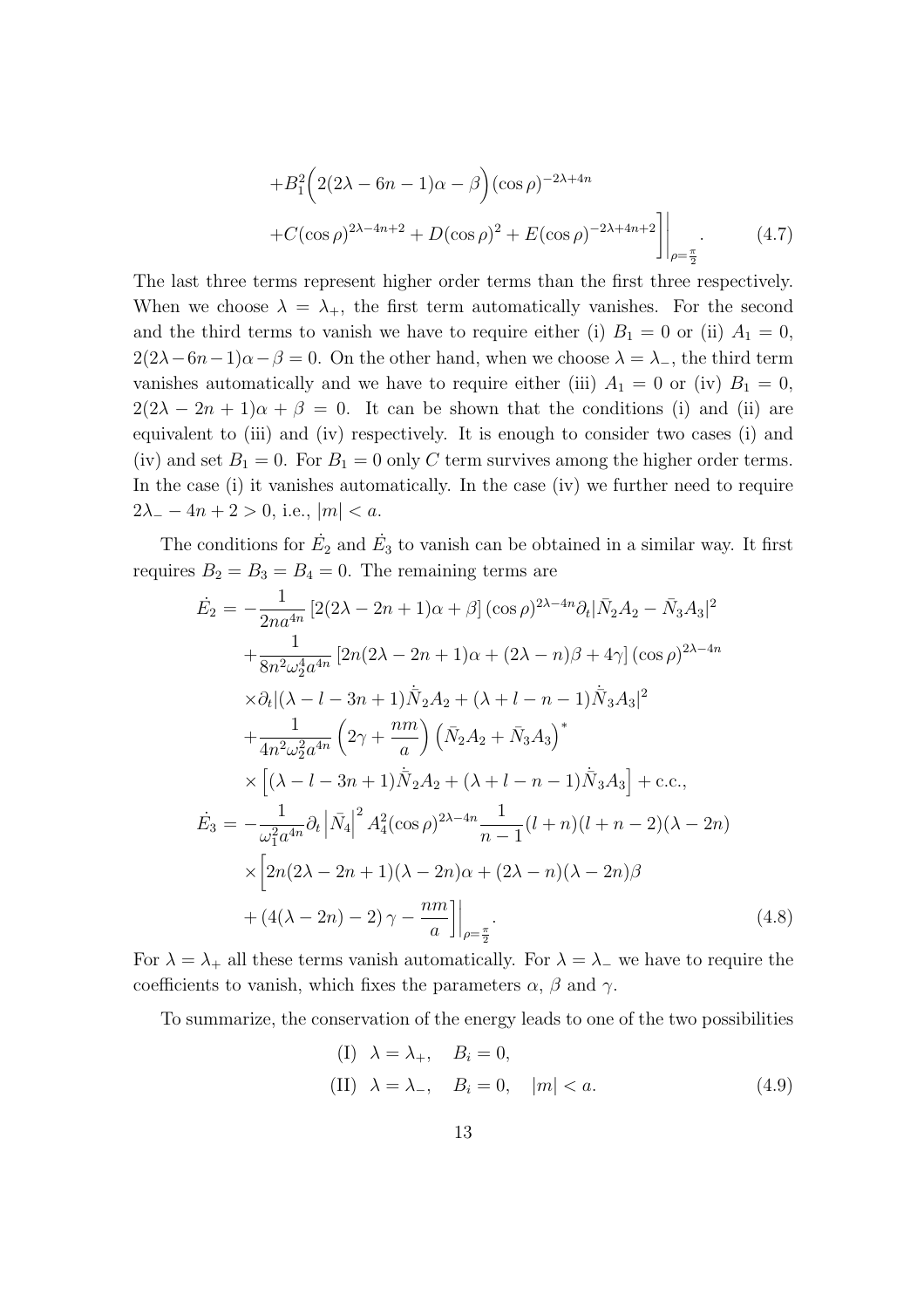$$
+B_1^2 \Big( 2(2\lambda - 6n - 1)\alpha - \beta \Big) (\cos \rho)^{-2\lambda + 4n} + C(\cos \rho)^{2\lambda - 4n + 2} + D(\cos \rho)^2 + E(\cos \rho)^{-2\lambda + 4n + 2} \Big] \Big|_{\rho = \frac{\pi}{2}}.
$$
 (4.7)

The last three terms represent higher order terms than the first three respectively. When we choose  $\lambda = \lambda_+$ , the first term automatically vanishes. For the second and the third terms to vanish we have to require either (i)  $B_1 = 0$  or (ii)  $A_1 = 0$ ,  $2(2\lambda - 6n - 1)\alpha - \beta = 0$ . On the other hand, when we choose  $\lambda = \lambda_{-}$ , the third term vanishes automatically and we have to require either (iii)  $A_1 = 0$  or (iv)  $B_1 = 0$ ,  $2(2\lambda - 2n + 1)\alpha + \beta = 0$ . It can be shown that the conditions (i) and (ii) are equivalent to (iii) and (iv) respectively. It is enough to consider two cases (i) and (iv) and set  $B_1 = 0$ . For  $B_1 = 0$  only C term survives among the higher order terms. In the case (i) it vanishes automatically. In the case (iv) we further need to require  $2\lambda - 4n + 2 > 0$ , i.e.,  $|m| < a$ .

The conditions for  $\dot{E}_2$  and  $\dot{E}_3$  to vanish can be obtained in a similar way. It first requires  $B_2 = B_3 = B_4 = 0$ . The remaining terms are

$$
\dot{E}_{2} = -\frac{1}{2na^{4n}} \left[ 2(2\lambda - 2n + 1)\alpha + \beta \right] (\cos \rho)^{2\lambda - 4n} \partial_{t} |\bar{N}_{2}A_{2} - \bar{N}_{3}A_{3}|^{2} \n+ \frac{1}{8n^{2}\omega_{2}^{4}a^{4n}} \left[ 2n(2\lambda - 2n + 1)\alpha + (2\lambda - n)\beta + 4\gamma \right] (\cos \rho)^{2\lambda - 4n} \n\times \partial_{t} |(\lambda - l - 3n + 1)\dot{\bar{N}}_{2}A_{2} + (\lambda + l - n - 1)\dot{\bar{N}}_{3}A_{3}|^{2} \n+ \frac{1}{4n^{2}\omega_{2}^{2}a^{4n}} \left( 2\gamma + \frac{nm}{a} \right) \left( \bar{N}_{2}A_{2} + \bar{N}_{3}A_{3} \right)^{*} \n\times \left[ (\lambda - l - 3n + 1)\dot{\bar{N}}_{2}A_{2} + (\lambda + l - n - 1)\dot{\bar{N}}_{3}A_{3} \right] + \text{c.c.}, \n\dot{E}_{3} = -\frac{1}{\omega_{1}^{2}a^{4n}} \partial_{t} |\bar{N}_{4}|^{2} A_{4}^{2} (\cos \rho)^{2\lambda - 4n} \frac{1}{n - 1} (l + n)(l + n - 2)(\lambda - 2n) \n\times \left[ 2n(2\lambda - 2n + 1)(\lambda - 2n)\alpha + (2\lambda - n)(\lambda - 2n)\beta \right. \n+ (4(\lambda - 2n) - 2)\gamma - \frac{nm}{a} \right] \Big|_{\rho = \frac{\pi}{2}}.
$$
\n(4.8)

For  $\lambda = \lambda_+$  all these terms vanish automatically. For  $\lambda = \lambda_-$  we have to require the coefficients to vanish, which fixes the parameters  $\alpha$ ,  $\beta$  and  $\gamma$ .

To summarize, the conservation of the energy leads to one of the two possibilities

(I) 
$$
\lambda = \lambda_+, B_i = 0,
$$
  
(II)  $\lambda = \lambda_-, B_i = 0, |m| < a.$  (4.9)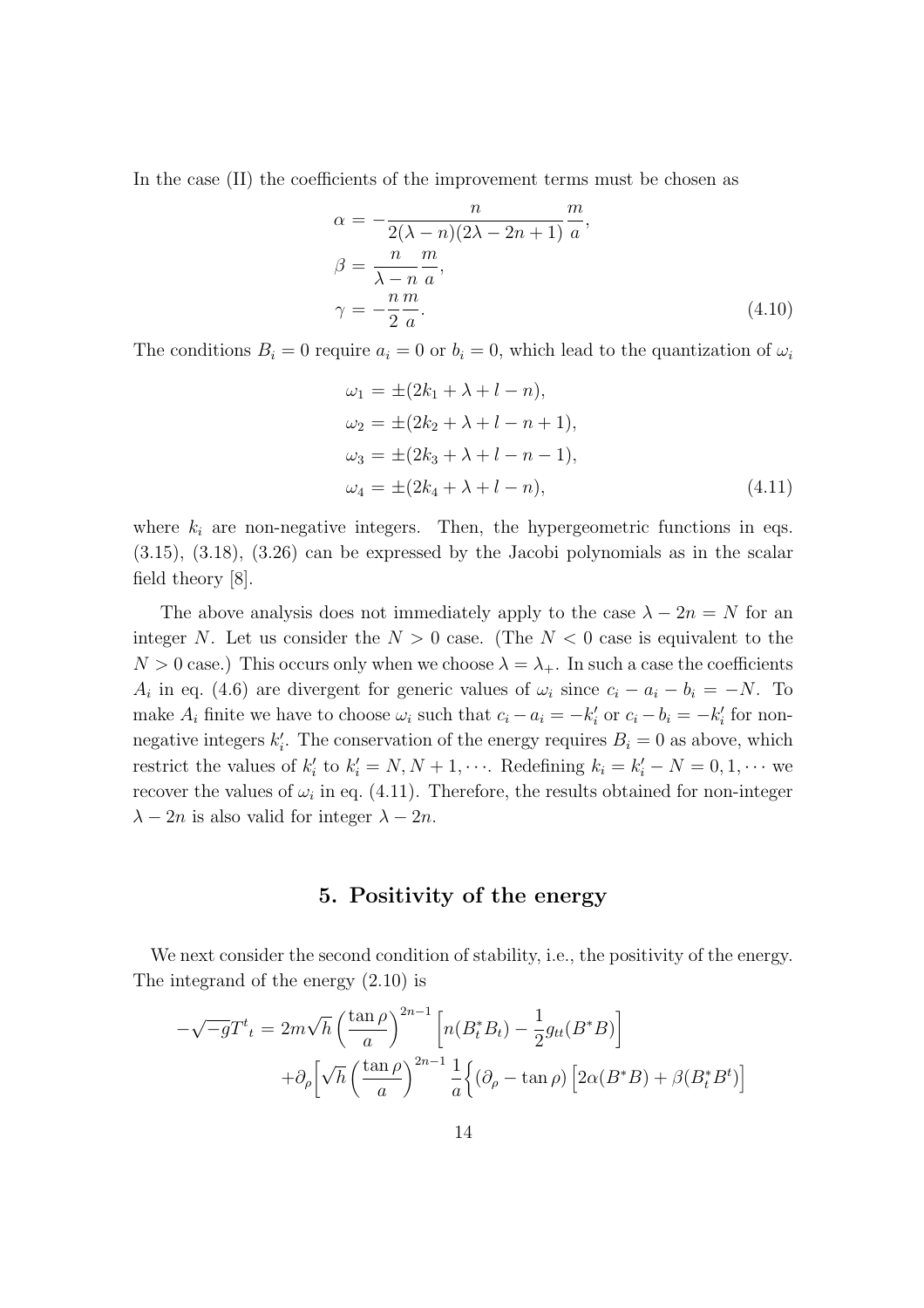In the case (II) the coefficients of the improvement terms must be chosen as

$$
\alpha = -\frac{n}{2(\lambda - n)(2\lambda - 2n + 1)} \frac{m}{a},
$$
  
\n
$$
\beta = \frac{n}{\lambda - n} \frac{m}{a},
$$
  
\n
$$
\gamma = -\frac{n}{2} \frac{m}{a}.
$$
\n(4.10)

The conditions  $B_i = 0$  require  $a_i = 0$  or  $b_i = 0$ , which lead to the quantization of  $\omega_i$ 

$$
\omega_1 = \pm (2k_1 + \lambda + l - n), \n\omega_2 = \pm (2k_2 + \lambda + l - n + 1), \n\omega_3 = \pm (2k_3 + \lambda + l - n - 1), \n\omega_4 = \pm (2k_4 + \lambda + l - n),
$$
\n(4.11)

where  $k_i$  are non-negative integers. Then, the hypergeometric functions in eqs. (3.15), (3.18), (3.26) can be expressed by the Jacobi polynomials as in the scalar field theory [8].

The above analysis does not immediately apply to the case  $\lambda - 2n = N$  for an integer *N*. Let us consider the  $N > 0$  case. (The  $N < 0$  case is equivalent to the  $N > 0$  case.) This occurs only when we choose  $\lambda = \lambda_+$ . In such a case the coefficients *A*<sup>*i*</sup> in eq. (4.6) are divergent for generic values of  $\omega_i$  since  $c_i - a_i - b_i = -N$ . To make  $A_i$  finite we have to choose  $\omega_i$  such that  $c_i - a_i = -k'_i$  or  $c_i - b_i = -k'_i$  for nonnegative integers  $k'_i$ . The conservation of the energy requires  $B_i = 0$  as above, which restrict the values of  $k'_i$  to  $k'_i = N, N + 1, \cdots$ . Redefining  $k_i = k'_i - N = 0, 1, \cdots$  we recover the values of  $\omega_i$  in eq. (4.11). Therefore, the results obtained for non-integer  $\lambda$  *−* 2*n* is also valid for integer  $\lambda$  *−* 2*n*.

### **5. Positivity of the energy**

We next consider the second condition of stability, i.e., the positivity of the energy. The integrand of the energy (2.10) is

$$
-\sqrt{-g}T^{t}{}_{t} = 2m\sqrt{h}\left(\frac{\tan\rho}{a}\right)^{2n-1}\left[n(B_{t}^{*}B_{t}) - \frac{1}{2}g_{tt}(B^{*}B)\right] + \partial_{\rho}\left[\sqrt{h}\left(\frac{\tan\rho}{a}\right)^{2n-1}\frac{1}{a}\left\{(\partial_{\rho}-\tan\rho)\left[2\alpha(B^{*}B)+\beta(B_{t}^{*}B^{t})\right]\right\}\right]
$$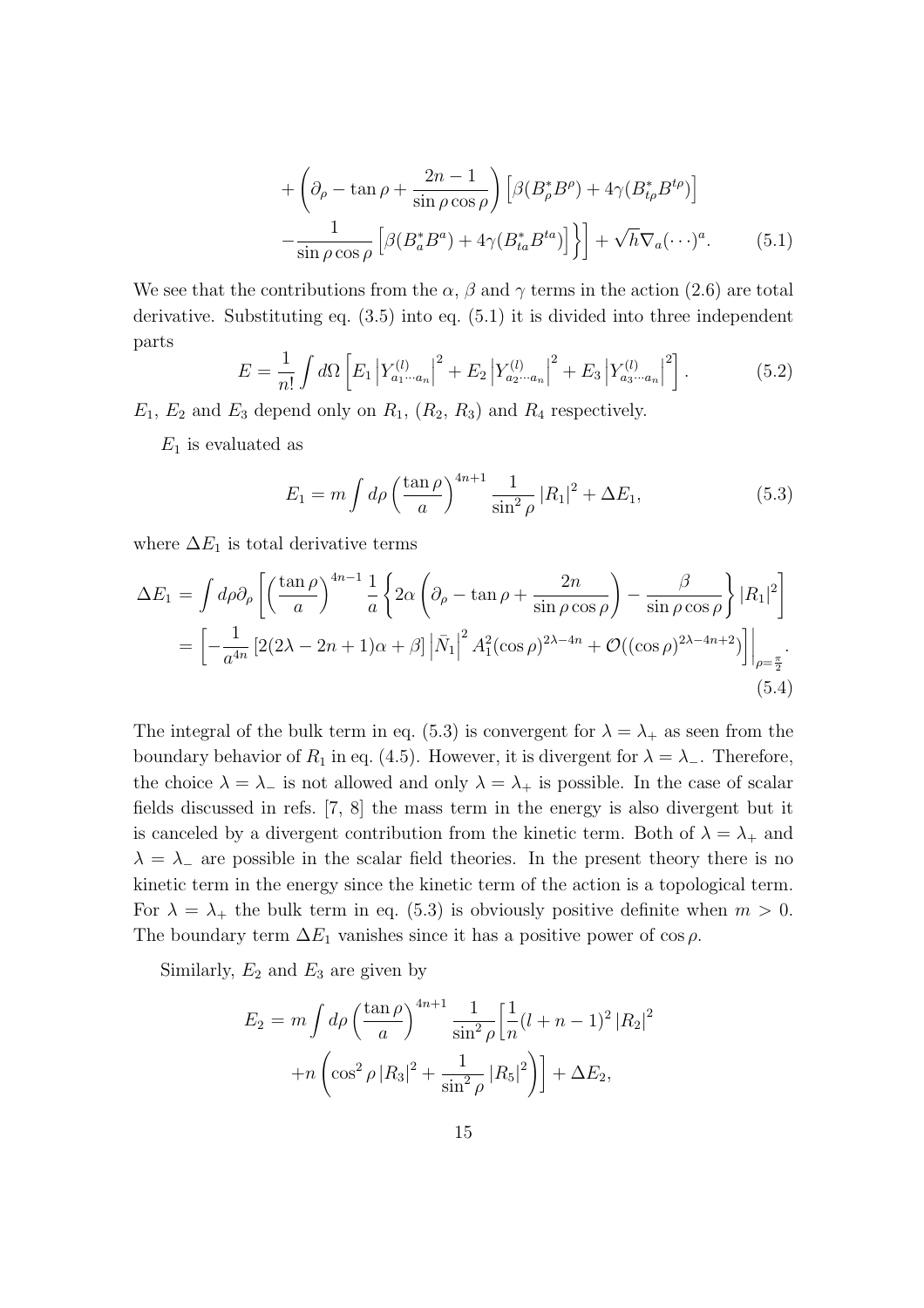$$
+\left(\partial_{\rho} - \tan \rho + \frac{2n-1}{\sin \rho \cos \rho}\right) \left[\beta (B_{\rho}^{*} B^{\rho}) + 4\gamma (B_{t\rho}^{*} B^{t\rho})\right] -\frac{1}{\sin \rho \cos \rho} \left[\beta (B_{a}^{*} B^{a}) + 4\gamma (B_{ta}^{*} B^{ta})\right] \Big\} + \sqrt{h} \nabla_{a} (\cdots)^{a}.
$$
 (5.1)

We see that the contributions from the  $\alpha$ ,  $\beta$  and  $\gamma$  terms in the action (2.6) are total derivative. Substituting eq. (3.5) into eq. (5.1) it is divided into three independent parts

$$
E = \frac{1}{n!} \int d\Omega \left[ E_1 \left| Y_{a_1 \cdots a_n}^{(l)} \right|^2 + E_2 \left| Y_{a_2 \cdots a_n}^{(l)} \right|^2 + E_3 \left| Y_{a_3 \cdots a_n}^{(l)} \right|^2 \right]. \tag{5.2}
$$

 $E_1, E_2$  and  $E_3$  depend only on  $R_1, (R_2, R_3)$  and  $R_4$  respectively.

*E*<sup>1</sup> is evaluated as

$$
E_1 = m \int d\rho \left(\frac{\tan \rho}{a}\right)^{4n+1} \frac{1}{\sin^2 \rho} |R_1|^2 + \Delta E_1,
$$
 (5.3)

where  $\Delta E_1$  is total derivative terms

$$
\Delta E_1 = \int d\rho \partial_\rho \left[ \left( \frac{\tan \rho}{a} \right)^{4n-1} \frac{1}{a} \left\{ 2\alpha \left( \partial_\rho - \tan \rho + \frac{2n}{\sin \rho \cos \rho} \right) - \frac{\beta}{\sin \rho \cos \rho} \right\} |R_1|^2 \right]
$$
  
= 
$$
\left[ -\frac{1}{a^{4n}} \left[ 2(2\lambda - 2n + 1)\alpha + \beta \right] \left| \bar{N}_1 \right|^2 A_1^2 (\cos \rho)^{2\lambda - 4n} + \mathcal{O}((\cos \rho)^{2\lambda - 4n + 2}) \right] \Big|_{\rho = \frac{\pi}{2}}.
$$
(5.4)

The integral of the bulk term in eq. (5.3) is convergent for  $\lambda = \lambda_+$  as seen from the boundary behavior of  $R_1$  in eq. (4.5). However, it is divergent for  $\lambda = \lambda$ <sub>−</sub>. Therefore, the choice  $\lambda = \lambda_{-}$  is not allowed and only  $\lambda = \lambda_{+}$  is possible. In the case of scalar fields discussed in refs. [7, 8] the mass term in the energy is also divergent but it is canceled by a divergent contribution from the kinetic term. Both of  $\lambda = \lambda_+$  and  $\lambda = \lambda$ <sub>−</sub> are possible in the scalar field theories. In the present theory there is no kinetic term in the energy since the kinetic term of the action is a topological term. For  $\lambda = \lambda_+$  the bulk term in eq. (5.3) is obviously positive definite when  $m > 0$ . The boundary term  $\Delta E_1$  vanishes since it has a positive power of cos  $\rho$ .

Similarly,  $E_2$  and  $E_3$  are given by

$$
E_2 = m \int d\rho \left(\frac{\tan \rho}{a}\right)^{4n+1} \frac{1}{\sin^2 \rho} \left[\frac{1}{n}(l+n-1)^2 |R_2|^2 + n \left(\cos^2 \rho |R_3|^2 + \frac{1}{\sin^2 \rho} |R_5|^2\right)\right] + \Delta E_2,
$$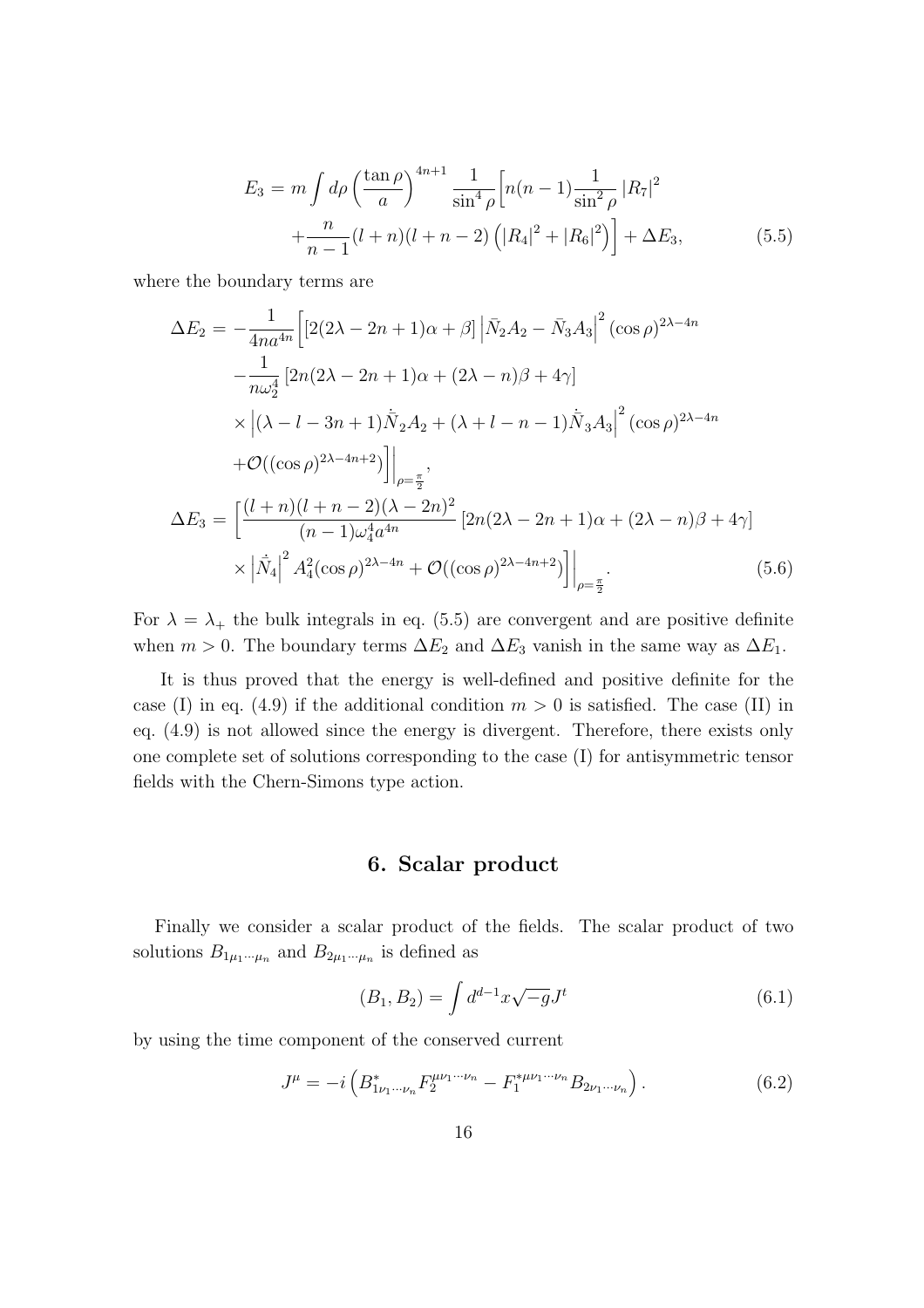$$
E_3 = m \int d\rho \left(\frac{\tan \rho}{a}\right)^{4n+1} \frac{1}{\sin^4 \rho} \left[n(n-1)\frac{1}{\sin^2 \rho} |R_7|^2 + \frac{n}{n-1}(l+n)(l+n-2) \left(|R_4|^2 + |R_6|^2\right)\right] + \Delta E_3,
$$
 (5.5)

where the boundary terms are

$$
\Delta E_2 = -\frac{1}{4na^{4n}} \Big[ \left[ 2(2\lambda - 2n + 1)\alpha + \beta \right] \left| \bar{N}_2 A_2 - \bar{N}_3 A_3 \right|^2 (\cos \rho)^{2\lambda - 4n} \n- \frac{1}{n\omega_2^4} \left[ 2n(2\lambda - 2n + 1)\alpha + (2\lambda - n)\beta + 4\gamma \right] \n\times \left| (\lambda - l - 3n + 1)\bar{N}_2 A_2 + (\lambda + l - n - 1)\bar{N}_3 A_3 \right|^2 (\cos \rho)^{2\lambda - 4n} \n+ \mathcal{O}((\cos \rho)^{2\lambda - 4n + 2}) \Big] \Big|_{\rho = \frac{\pi}{2}},
$$
\n
$$
\Delta E_3 = \left[ \frac{(l + n)(l + n - 2)(\lambda - 2n)^2}{(n - 1)\omega_4^4 a^{4n}} \left[ 2n(2\lambda - 2n + 1)\alpha + (2\lambda - n)\beta + 4\gamma \right] \right. \n\times \left| \dot{\bar{N}}_4 \right|^2 A_4^2 (\cos \rho)^{2\lambda - 4n} + \mathcal{O}((\cos \rho)^{2\lambda - 4n + 2}) \Big] \Big|_{\rho = \frac{\pi}{2}}.
$$
\n(5.6)

For  $\lambda = \lambda_+$  the bulk integrals in eq. (5.5) are convergent and are positive definite when  $m > 0$ . The boundary terms  $\Delta E_2$  and  $\Delta E_3$  vanish in the same way as  $\Delta E_1$ .

It is thus proved that the energy is well-defined and positive definite for the case (I) in eq. (4.9) if the additional condition  $m > 0$  is satisfied. The case (II) in eq. (4.9) is not allowed since the energy is divergent. Therefore, there exists only one complete set of solutions corresponding to the case (I) for antisymmetric tensor fields with the Chern-Simons type action.

### **6. Scalar product**

Finally we consider a scalar product of the fields. The scalar product of two solutions  $B_{1\mu_1\cdots\mu_n}$  and  $B_{2\mu_1\cdots\mu_n}$  is defined as

$$
(B_1, B_2) = \int d^{d-1}x \sqrt{-g} J^t \tag{6.1}
$$

by using the time component of the conserved current

$$
J^{\mu} = -i \left( B_{1\nu_1 \cdots \nu_n}^* F_2^{\mu\nu_1 \cdots \nu_n} - F_1^{*\mu\nu_1 \cdots \nu_n} B_{2\nu_1 \cdots \nu_n} \right). \tag{6.2}
$$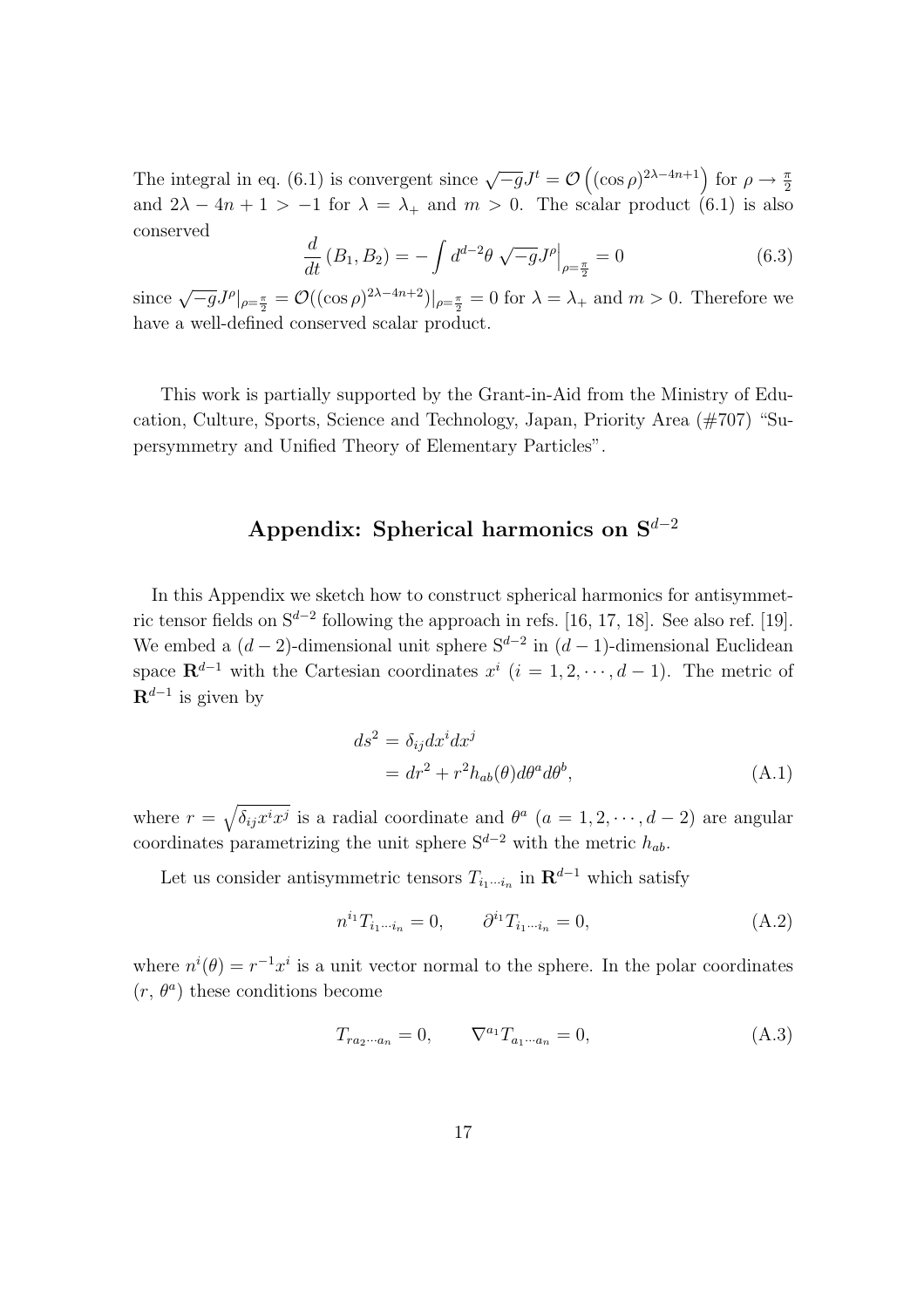The integral in eq. (6.1) is convergent since  $\sqrt{-g}J^t = \mathcal{O}\left((\cos \rho)^{2\lambda - 4n + 1}\right)$  for  $\rho \to \frac{\pi}{2}$ and  $2\lambda - 4n + 1 > -1$  for  $\lambda = \lambda_+$  and  $m > 0$ . The scalar product (6.1) is also conserved

$$
\frac{d}{dt}(B_1, B_2) = -\int d^{d-2}\theta \sqrt{-g}J^{\rho}\Big|_{\rho=\frac{\pi}{2}} = 0
$$
\n(6.3)

since  $\sqrt{-g}J^{\rho}|_{\rho=\frac{\pi}{2}} = \mathcal{O}((\cos \rho)^{2\lambda - 4n + 2})|_{\rho=\frac{\pi}{2}} = 0$  for  $\lambda = \lambda_+$  and  $m > 0$ . Therefore we have a well-defined conserved scalar product.

This work is partially supported by the Grant-in-Aid from the Ministry of Education, Culture, Sports, Science and Technology, Japan, Priority Area (#707) "Supersymmetry and Unified Theory of Elementary Particles".

# **Appendix: Spherical harmonics on S***<sup>d</sup>−*<sup>2</sup>

In this Appendix we sketch how to construct spherical harmonics for antisymmetric tensor fields on S*<sup>d</sup>−*<sup>2</sup> following the approach in refs. [16, 17, 18]. See also ref. [19]. We embed a  $(d-2)$ -dimensional unit sphere  $S^{d-2}$  in  $(d-1)$ -dimensional Euclidean space  $\mathbf{R}^{d-1}$  with the Cartesian coordinates  $x^i$  ( $i = 1, 2, \dots, d-1$ ). The metric of **R***<sup>d</sup>−*<sup>1</sup> is given by

$$
ds^{2} = \delta_{ij} dx^{i} dx^{j}
$$
  
=  $dr^{2} + r^{2} h_{ab}(\theta) d\theta^{a} d\theta^{b}$ , (A.1)

where  $r = \sqrt{\delta_{ij}x^ix^j}$  is a radial coordinate and  $\theta^a$  ( $a = 1, 2, \dots, d - 2$ ) are angular coordinates parametrizing the unit sphere  $S^{d-2}$  with the metric  $h_{ab}$ .

Let us consider antisymmetric tensors  $T_{i_1\cdots i_n}$  in  $\mathbf{R}^{d-1}$  which satisfy

$$
n^{i_1} T_{i_1 \cdots i_n} = 0, \qquad \partial^{i_1} T_{i_1 \cdots i_n} = 0,
$$
\n(A.2)

where  $n^{i}(\theta) = r^{-1}x^{i}$  is a unit vector normal to the sphere. In the polar coordinates  $(r, \theta^a)$  these conditions become

$$
T_{ra_2\cdots a_n} = 0, \qquad \nabla^{a_1} T_{a_1\cdots a_n} = 0,
$$
\n(A.3)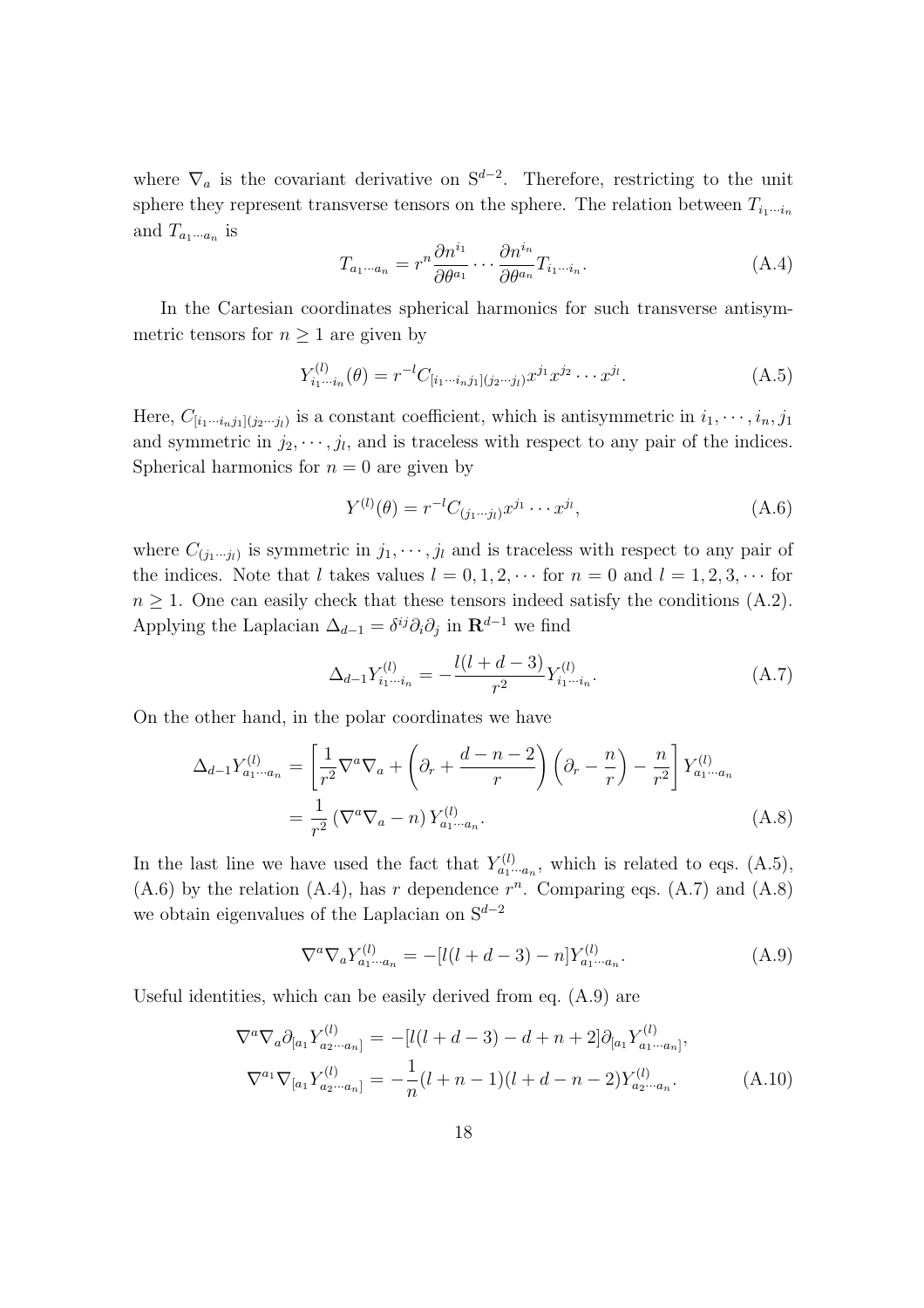where  $\nabla_a$  is the covariant derivative on  $S^{d-2}$ . Therefore, restricting to the unit sphere they represent transverse tensors on the sphere. The relation between  $T_{i_1 \cdots i_n}$ and  $T_{a_1\cdots a_n}$  is

$$
T_{a_1\cdots a_n} = r^n \frac{\partial n^{i_1}}{\partial \theta^{a_1}} \cdots \frac{\partial n^{i_n}}{\partial \theta^{a_n}} T_{i_1\cdots i_n}.
$$
 (A.4)

In the Cartesian coordinates spherical harmonics for such transverse antisymmetric tensors for  $n \geq 1$  are given by

$$
Y_{i_1\cdots i_n}^{(l)}(\theta) = r^{-l} C_{[i_1\cdots i_n j_1](j_2\cdots j_l)} x^{j_1} x^{j_2} \cdots x^{j_l}.
$$
 (A.5)

Here,  $C_{[i_1\cdots i_nj_1](j_2\cdots j_l)}$  is a constant coefficient, which is antisymmetric in  $i_1, \cdots, i_n, j_1$ and symmetric in  $j_2, \dots, j_l$ , and is traceless with respect to any pair of the indices. Spherical harmonics for  $n = 0$  are given by

$$
Y^{(l)}(\theta) = r^{-l} C_{(j_1 \cdots j_l)} x^{j_1} \cdots x^{j_l}, \tag{A.6}
$$

where  $C_{(j_1\cdots j_l)}$  is symmetric in  $j_1, \cdots, j_l$  and is traceless with respect to any pair of the indices. Note that *l* takes values  $l = 0, 1, 2, \cdots$  for  $n = 0$  and  $l = 1, 2, 3, \cdots$  for  $n \geq 1$ . One can easily check that these tensors indeed satisfy the conditions  $(A.2)$ . Applying the Laplacian  $\Delta_{d-1} = \delta^{ij}\partial_i\partial_j$  in  $\mathbf{R}^{d-1}$  we find

$$
\Delta_{d-1} Y_{i_1 \cdots i_n}^{(l)} = -\frac{l(l+d-3)}{r^2} Y_{i_1 \cdots i_n}^{(l)}.\tag{A.7}
$$

On the other hand, in the polar coordinates we have

$$
\Delta_{d-1} Y_{a_1 \cdots a_n}^{(l)} = \left[ \frac{1}{r^2} \nabla^a \nabla_a + \left( \partial_r + \frac{d-n-2}{r} \right) \left( \partial_r - \frac{n}{r} \right) - \frac{n}{r^2} \right] Y_{a_1 \cdots a_n}^{(l)} \n= \frac{1}{r^2} \left( \nabla^a \nabla_a - n \right) Y_{a_1 \cdots a_n}^{(l)}.
$$
\n(A.8)

In the last line we have used the fact that  $Y_{a_1\cdots a_n}^{(l)}$ , which is related to eqs. (A.5),  $(A.6)$  by the relation  $(A.4)$ , has *r* dependence  $r^n$ . Comparing eqs.  $(A.7)$  and  $(A.8)$ we obtain eigenvalues of the Laplacian on S*<sup>d</sup>−*<sup>2</sup>

$$
\nabla^a \nabla_a Y_{a_1 \cdots a_n}^{(l)} = -[l(l+d-3) - n] Y_{a_1 \cdots a_n}^{(l)}.
$$
 (A.9)

Useful identities, which can be easily derived from eq. (A.9) are

$$
\nabla^{a} \nabla_{a} \partial_{[a_{1}} Y_{a_{2} \cdots a_{n}]}^{(l)} = -[l(l+d-3) - d + n + 2] \partial_{[a_{1}} Y_{a_{1} \cdots a_{n}]}^{(l)},
$$
  
\n
$$
\nabla^{a_{1}} \nabla_{[a_{1}} Y_{a_{2} \cdots a_{n}]}^{(l)} = -\frac{1}{n} (l+n-1)(l+d-n-2) Y_{a_{2} \cdots a_{n}}^{(l)}.
$$
\n(A.10)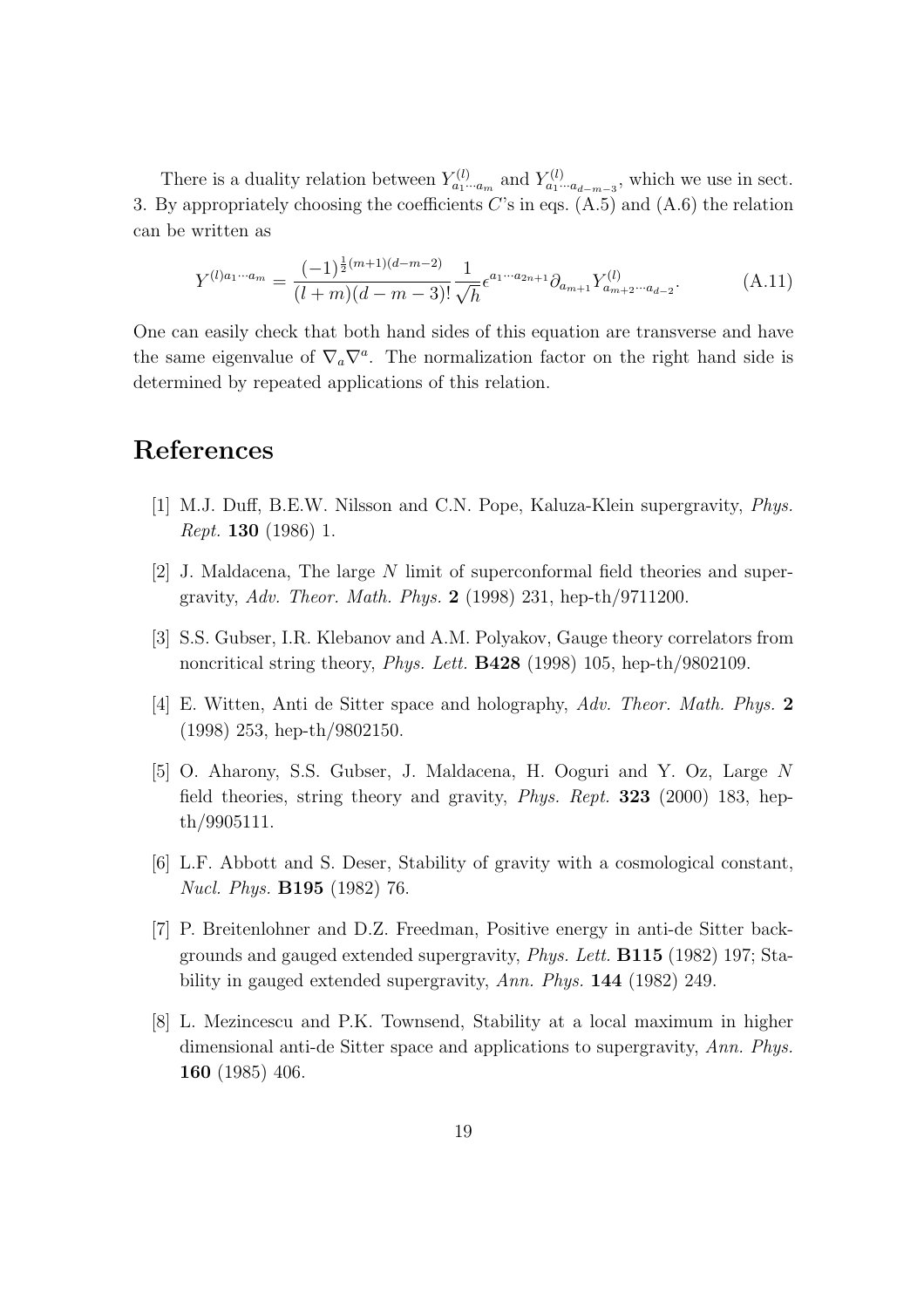There is a duality relation between  $Y_{a_1\cdots a_m}^{(l)}$  and  $Y_{a_1\cdots a_{d-m-3}}^{(l)}$ , which we use in sect. 3. By appropriately choosing the coefficients *C*'s in eqs. (A.5) and (A.6) the relation can be written as

$$
Y^{(l)a_1\cdots a_m} = \frac{(-1)^{\frac{1}{2}(m+1)(d-m-2)}}{(l+m)(d-m-3)!} \frac{1}{\sqrt{h}} \epsilon^{a_1\cdots a_{2n+1}} \partial_{a_{m+1}} Y^{(l)}_{a_{m+2}\cdots a_{d-2}}.
$$
 (A.11)

One can easily check that both hand sides of this equation are transverse and have the same eigenvalue of  $\nabla_a \nabla^a$ . The normalization factor on the right hand side is determined by repeated applications of this relation.

## **References**

- [1] M.J. Duff, B.E.W. Nilsson and C.N. Pope, Kaluza-Klein supergravity, *Phys. Rept.* **130** (1986) 1.
- [2] J. Maldacena, The large *N* limit of superconformal field theories and supergravity, *Adv. Theor. Math. Phys.* **2** (1998) 231, hep-th/9711200.
- [3] S.S. Gubser, I.R. Klebanov and A.M. Polyakov, Gauge theory correlators from noncritical string theory, *Phys. Lett.* **B428** (1998) 105, hep-th/9802109.
- [4] E. Witten, Anti de Sitter space and holography, *Adv. Theor. Math. Phys.* **2** (1998) 253, hep-th/9802150.
- [5] O. Aharony, S.S. Gubser, J. Maldacena, H. Ooguri and Y. Oz, Large *N* field theories, string theory and gravity, *Phys. Rept.* **323** (2000) 183, hepth/9905111.
- [6] L.F. Abbott and S. Deser, Stability of gravity with a cosmological constant, *Nucl. Phys.* **B195** (1982) 76.
- [7] P. Breitenlohner and D.Z. Freedman, Positive energy in anti-de Sitter backgrounds and gauged extended supergravity, *Phys. Lett.* **B115** (1982) 197; Stability in gauged extended supergravity, *Ann. Phys.* **144** (1982) 249.
- [8] L. Mezincescu and P.K. Townsend, Stability at a local maximum in higher dimensional anti-de Sitter space and applications to supergravity, *Ann. Phys.* **160** (1985) 406.